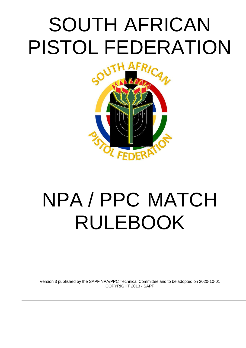# SOUTH AFRICAN PISTOL FEDERATION



# NPA / PPC MATCH RULEBOOK

Version 3 published by the SAPF NPA/PPC Technical Committee and to be adopted on 2020-10-01 COPYRIGHT 2013 - SAPF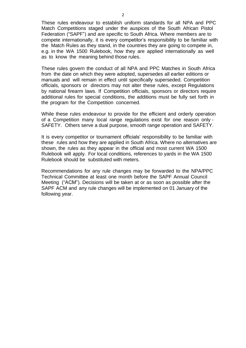These rules endeavour to establish uniform standards for all NPA and PPC Match Competitions staged under the auspices of the South African Pistol Federation ("SAPF") and are specific to South Africa. Where members are to compete internationally, it is every competitor's responsibility to be familiar with the Match Rules as they stand, in the countries they are going to compete in, e.g. in the WA 1500 Rulebook, how they are applied internationally as well as to know the meaning behind those rules.

These rules govern the conduct of all NPA and PPC Matches in South Africa from the date on which they were adopted, supersedes all earlier editions or manuals and will remain in effect until specifically superseded. Competition officials, sponsors or directors may not alter these rules, except Regulations by national firearm laws. If Competition officials, sponsors or directors require additional rules for special conditions, the additions must be fully set forth in the program for the Competition concerned.

While these rules endeavour to provide for the efficient and orderly operation of a Competition many local range regulations exist for one reason only - SAFETY. Others serve a dual purpose, smooth range operation and SAFETY.

It is every competitor or tournament officials' responsibility to be familiar with these rules and how they are applied in South Africa. Where no alternatives are shown, the rules as they appear in the official and most current WA 1500 Rulebook will apply. For local conditions, references to yards in the WA 1500 Rulebook should be substituted with meters.

Recommendations for any rule changes may be forwarded to the NPA/PPC Technical Committee at least one month before the SAPF Annual Council Meeting ("ACM"). Decisions will be taken at or as soon as possible after the SAPF ACM and any rule changes will be implemented on 01 January of the following year.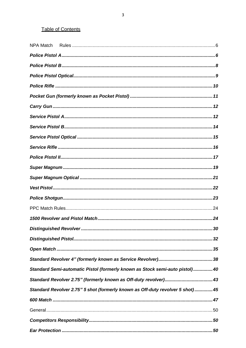# **Table of Contents**

| Standard Semi-automatic Pistol (formerly known as Stock semi-auto pistol) 40   |  |
|--------------------------------------------------------------------------------|--|
|                                                                                |  |
| Standard Revolver 2.75" 5 shot (formerly known as Off-duty revolver 5 shot) 45 |  |
|                                                                                |  |
|                                                                                |  |
|                                                                                |  |
|                                                                                |  |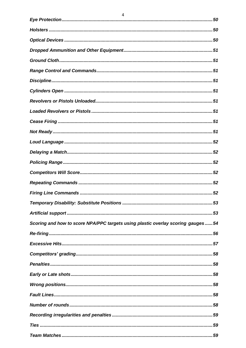| Scoring and how to score NPA/PPC targets using plastic overlay scoring gauges54 |
|---------------------------------------------------------------------------------|
|                                                                                 |
|                                                                                 |
|                                                                                 |
|                                                                                 |
|                                                                                 |
|                                                                                 |
|                                                                                 |
|                                                                                 |
|                                                                                 |
|                                                                                 |
|                                                                                 |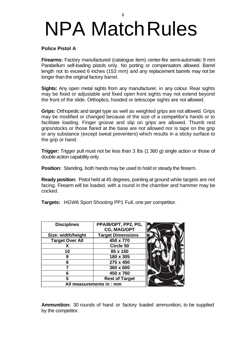# <span id="page-5-0"></span>NPA MatchRules

# <span id="page-5-1"></span>**Police Pistol A**

**Firearms:** Factory manufactured (catalogue item) center-fire semi-automatic 9 mm Parabellum self-loading pistols only. No porting or compensators allowed. Barrel length not to exceed 6 inches (153 mm) and any replacement barrels may not be longer than the original factory barrel.

**Sights:** Any open metal sights from any manufacturer, in any colour. Rear sights may be fixed or adjustable and fixed open front sights may not extend beyond the front of the slide. Orthoptics, hooded or telescope sights are not allowed.

**Grips:** Orthopedic and target type as well as weighted grips are not allowed. Grips may be modified or changed because of the size of a competitor's hands or to facilitate loading. Finger groove and slip on grips are allowed. Thumb rest grips/stocks or those flared at the base are not allowed nor is tape on the grip or any substance (except sweat preventers) which results in a sticky surface to the grip or hand.

**Trigger:** Trigger pull must not be less than 3 lbs (1 360 g) single action or those of double action capability only.

**Position:** Standing, both hands may be used to hold or steady the firearm.

**Ready position:** Pistol held at 45 degrees, pointing at ground while targets are not facing. Firearm will be loaded, with a round in the chamber and hammer may be cocked.

**Targets:** HGW6 Sport Shooting PP1 Full, one per competitor.

| <b>Disciplines</b>     | PPA/B/OPT, PP2, PG,      |  |
|------------------------|--------------------------|--|
|                        | <b>CG, MAG/OPT</b>       |  |
| Size: width/height     | <b>Target Dimensions</b> |  |
| <b>Target Over All</b> | 450 x 770                |  |
|                        | Circle 50                |  |
| 10                     | 85 x 150                 |  |
| 9                      | 180 x 305                |  |
| 8                      | 275 x 450                |  |
|                        | 360 x 600                |  |
| 6                      | 450 x 760                |  |
|                        | <b>Rest of Target</b>    |  |
|                        | All measurements in: mm  |  |

**Ammunition:** 30 rounds of hand or factory loaded ammunition, to be supplied by the competitor.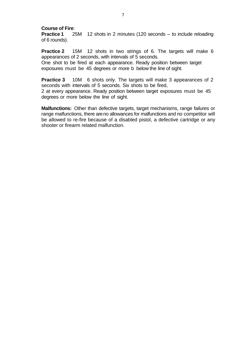# **Course of Fire**:

25M 12 shots in 2 minutes (120 seconds – to include reloading of 6 rounds).

**Practice 2** 15M 12 shots in two strings of 6. The targets will make 6 appearances of 2 seconds, with intervals of 5 seconds. One shot to be fired at each appearance. Ready position between target exposures must be 45 degrees or more b below the line of sight.

**Practice 3** 10M 6 shots only. The targets will make 3 appearances of 2 seconds with intervals of 5 seconds. Six shots to be fired, 2 at every appearance. Ready position between target exposures must be 45 degrees or more below the line of sight.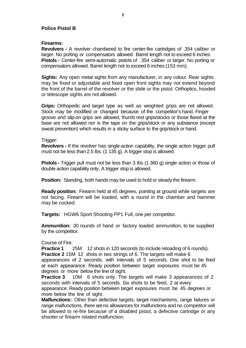# <span id="page-7-0"></span>**Police Pistol B**

### **Firearms:**

**Revolvers -** A revolver chambered to fire center-fire cartridges of .354 caliber or larger. No porting or compensators allowed. Barrel length not to exceed 6 inches. **Pistols -** Center-fire semi-automatic pistols of .354 caliber or larger. No porting or compensators allowed. Barrel length not to exceed 6 inches (153 mm).

**Sights:** Any open metal sights from any manufacturer, in any colour. Rear sights may be fixed or adjustable and fixed open front sights may not extend beyond the front of the barrel of the revolver or the slide or the pistol. Orthoptics, hooded or telescope sights are not allowed.

**Grips:** Orthopedic and target type as well as weighted grips are not allowed. Stock may be modified or changed because of the competitor's hand. Finger groove and slip-on grips are allowed, thumb rest grips/stocks or those flared at the base are not allowed nor is the tape on the grips/stock or any substance (except sweat prevention) which results in a sticky surface to the grip/stock or hand.

#### Trigger:

**Revolvers -** If the revolver has single-action capability, the single action trigger pull must not be less than 2.5 lbs. (1 135 g). A trigger stop is allowed.

**Pistols -** Trigger pull must not be less than 3 lbs (1 360 g) single action or those of double action capability only. A trigger stop is allowed.

**Position:** Standing, both hands may be used to hold or steady the firearm.

**Ready position:** Firearm held at 45 degrees, pointing at ground while targets are not facing. Firearm will be loaded, with a round in the chamber and hammer may be cocked.

**Targets:** HGW6 Sport Shooting PP1 Full, one per competitor.

**Ammunition:** 30 rounds of hand or factory loaded ammunition, to be supplied by the competitor.

### Course of Fire:

**Practice 1** 25M 12 shots in 120 seconds (to include reloading of 6 rounds). **Practice 2** 15M 12 shots in two strings of 6. The targets will make 6 appearances of 2 seconds, with intervals of 5 seconds. One shot to be fired at each appearance. Ready position between target exposures must be 45 degrees or more below the line of sight.

**Practice 3** 10M 6 shots only. The targets will make 3 appearances of 2 seconds with intervals of 5 seconds. Six shots to be fired, 2 at every appearance. Ready position between target exposures must be 45 degrees or more below the line of sight.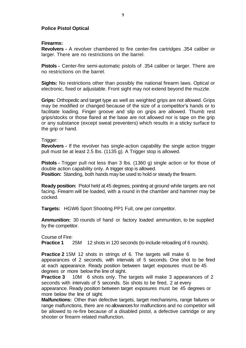# <span id="page-8-0"></span>**Police Pistol Optical**

# **Firearms:**

**Revolvers -** A revolver chambered to fire center-fire cartridges .354 caliber or larger. There are no restrictions on the barrel.

**Pistols -** Center-fire semi-automatic pistols of .354 caliber or larger. There are no restrictions on the barrel.

**Sights:** No restrictions other than possibly the national firearm laws. Optical or electronic, fixed or adjustable. Front sight may not extend beyond the muzzle.

**Grips:** Orthopedic and target type as well as weighted grips are not allowed. Grips may be modified or changed because of the size of a competitor's hands or to facilitate loading. Finger groove and slip on grips are allowed. Thumb rest grips/stocks or those flared at the base are not allowed nor is tape on the grip or any substance (except sweat preventers) which results in a sticky surface to the grip or hand.

#### Trigger:

**Revolvers -** If the revolver has single-action capability the single action trigger pull must be at least 2.5 lbs. (1135 g). A Trigger stop is allowed.

**Pistols -** Trigger pull not less than 3 lbs. (1360 g) single action or for those of double action capability only. A trigger stop is allowed. **Position:** Standing, both hands may be used to hold or steady the firearm.

**Ready position:** Pistol held at 45 degrees, pointing at ground while targets are not facing. Firearm will be loaded, with a round in the chamber and hammer may be cocked.

**Targets:** HGW6 Sport Shooting PP1 Full, one per competitor.

**Ammunition:** 30 rounds of hand or factory loaded ammunition, to be supplied by the competitor.

#### Course of Fire:

**Practice 1** 25M 12 shots in 120 seconds (to include reloading of 6 rounds).

**Practice 2** 15M 12 shots in strings of 6. The targets will make 6 appearances of 2 seconds, with intervals of 5 seconds. One shot to be fired at each appearance. Ready position between target exposures must be 45 degrees or more below the line of sight.

**Practice 3** 10M 6 shots only. The targets will make 3 appearances of 2 seconds with intervals of 5 seconds. Six shots to be fired, 2 at every appearance. Ready position between target exposures must be 45 degrees or more below the line of sight.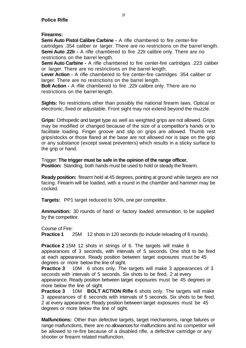<span id="page-9-0"></span>**Firearms:**

**Semi Auto Pistol Calibre Carbine -** A rifle chambered to fire center-fire cartridges .354 caliber or larger. There are no restrictions on the barrel length. **Semi Auto .22lr -** A rifle chambered to fire .22lr calibre only. There are no restrictions on the barrel length.

**Semi Auto Carbine -** A rifle chambered to fire center-fire cartridges .223 caliber or larger. There are no restrictions on the barrel length.

**Lever Action -** A rifle chambered to fire center-fire cartridges .354 caliber or larger. There are no restrictions on the barrel length.

**Bolt Action -** A rfile chambered to fire .22lr calibre only. There are no restrictions on the barrel length.

**Sights:** No restrictions other than possibly the national firearm laws. Optical or electronic, fixed or adjustable. Front sight may not extend beyond the muzzle.

**Grips:** Orthopedic and target type as well as weighted grips are not allowed. Grips may be modified or changed because of the size of a competitor's hands or to facilitate loading. Finger groove and slip on grips are allowed. Thumb rest grips/stocks or those flared at the base are not allowed nor is tape on the grip or any substance (except sweat preventers) which results in a sticky surface to the grip or hand.

Trigger: **The trigger must be safe in the opinion of the range officer. Position:** Standing, both hands must be used to hold or steady the firearm.

**Ready position:** firearm held at 45 degrees, pointing at ground while targets are not facing. Firearm will be loaded, with a round in the chamber and hammer may be cocked.

**Targets:** PP1 target reduced to 50%, one per competitor.

**Ammunition:** 30 rounds of hand or factory loaded ammunition, to be supplied by the competitor.

Course of Fire:

**Practice 1** 25M 12 shots in 120 seconds (to include reloading of 6 rounds).

**Practice 2** 15M 12 shots in strings of 6. The targets will make 6 appearances of 3 seconds, with intervals of 5 seconds. One shot to be fired at each appearance. Ready position between target exposures must be 45 degrees or more below the line of sight.

**Practice 3** 10M 6 shots only. The targets will make 3 appearances of 3 seconds with intervals of 5 seconds. Six shots to be fired, 2 at every appearance. Ready position between target exposures must be 45 degrees or more below the line of sight.

**Practice 3** 10M **BOLT ACTION Rifle** 6 shots only. The targets will make 3 appearances of 6 seconds with intervals of 5 seconds. Six shots to be fired, 2 at every appearance. Ready position between target exposures must be 45 degrees or more below the line of sight.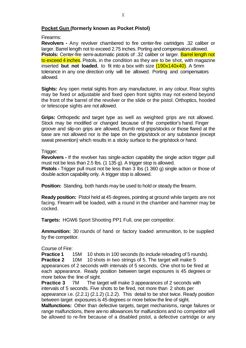# <span id="page-10-0"></span>**Pocket Gun (formerly known as Pocket Pistol)**

Firearms:

**Revolvers -** Any revolver chambered to fire center-fire cartridges .32 caliber or larger. Barrel length not to exceed 2.75 inches. Porting and compensatorsallowed. **Pistols:** Center-fire semi-automatic pistols of .32 caliber or larger. Barrel length not to exceed 4 inches. Pistols, in the condition as they are to be shot, with magazine inserted **but not loaded**, to fit into a box with size (190x140x40). A 5mm tolerance in any one direction only will be allowed. Porting and compensators allowed.

**Sights:** Any open metal sights from any manufacturer, in any colour. Rear sights may be fixed or adjustable and fixed open front sights may not extend beyond the front of the barrel of the revolver or the slide or the pistol. Orthoptics, hooded or telescope sights are not allowed.

**Grips:** Orthopedic and target type as well as weighted grips are not allowed. Stock may be modified or changed because of the competitor's hand. Finger groove and slip-on grips are allowed, thumb rest grips/stocks or those flared at the base are not allowed nor is the tape on the grips/stock or any substance (except sweat prevention) which results in a sticky surface to the grip/stock or hand.

Trigger:

**Revolvers -** If the revolver has single-action capability the single action trigger pull must not be less than 2.5 lbs. (1 135 g). A trigger stop is allowed.

**Pistols -** Trigger pull must not be less than 3 lbs (1 360 g) single action or those of double action capability only. A trigger stop is allowed.

**Position:** Standing, both hands may be used to hold or steady the firearm.

**Ready position:** Pistol held at 45 degrees, pointing at ground while targets are not facing. Firearm will be loaded, with a round in the chamber and hammer may be cocked.

**Targets:** HGW6 Sport Shooting PP1 Full, one per competitor.

**Ammunition:** 30 rounds of hand or factory loaded ammunition, to be supplied by the competitor.

Course of Fire:

**Practice 1** 15M 10 shots in 100 seconds (to include reloading of 5 rounds). **Practice 2** 10M 10 shots in two strings of 5. The target will make 5 appearances of 2 seconds with intervals of 5 seconds. One shot to be fired at each appearance. Ready position between target exposures is 45 degrees or more below the line of sight.

**Practice 3** 7M The target will make 3 appearances of 2 seconds with intervals of 5 seconds. Five shots to be fired, not more than 2 shots per appearance i.e. (2.2.1) (2.1.2) (1.2.2). This detail to be shot twice. Ready position between target exposures is 45 degrees or more below the line of sight. **Malfunctions:** Other than defective targets, target mechanisms, range failures or

range malfunctions, there areno allowances for malfunctions and no competitor will be allowed to re-fire because of a disabled pistol, a defective cartridge or any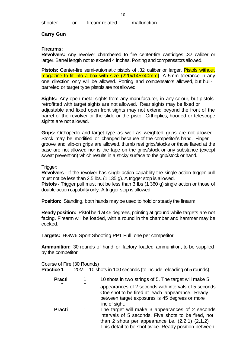| shooter | or | firearm related | malfunction. |
|---------|----|-----------------|--------------|
|         |    |                 |              |

<span id="page-11-0"></span>**Carry Gun**

# **Firearms:**

**Revolvers:** Any revolver chambered to fire center-fire cartridges .32 caliber or larger. Barrel length not to exceed 4 inches. Porting and compensatorsallowed.

**Pistols:** Center-fire semi-automatic pistols of .32 caliber or larger. **Pistols without** magazine to fit into a box with size (220x145x40mm). A 5mm tolerance in any one direction only will be allowed. Porting and compensators allowed, but bullbarreled or target type pistols arenotallowed.

**Sights:** Any open metal sights from any manufacturer, in any colour, but pistols retrofitted with target sights are not allowed. Rear sights may be fixed or adjustable and fixed open front sights may not extend beyond the front of the barrel of the revolver or the slide or the pistol. Orthoptics, hooded or telescope sights are not allowed.

**Grips:** Orthopedic and target type as well as weighted grips are not allowed. Stock may be modified or changed because of the competitor's hand. Finger groove and slip-on grips are allowed, thumb rest grips/stocks or those flared at the base are not allowed nor is the tape on the grips/stock or any substance (except sweat prevention) which results in a sticky surface to the grip/stock or hand.

Trigger:

**Revolvers -** If the revolver has single-action capability the single action trigger pull must not be less than 2.5 lbs. (1 135 g). A trigger stop is allowed.

**Pistols -** Trigger pull must not be less than 3 lbs (1 360 g) single action or those of double action capability only. A trigger stop is allowed.

**Position:** Standing, both hands may be used to hold or steady the firearm.

**Ready position:** Pistol held at 45 degrees, pointing at ground while targets are not facing. Firearm will be loaded, with a round in the chamber and hammer may be cocked.

**Targets:** HGW6 Sport Shooting PP1 Full, one per competitor.

**Ammunition:** 30 rounds of hand or factory loaded ammunition, to be supplied by the competitor.

Course of Fire (30 Rounds)

**Practice 1** 20M 10 shots in 100 seconds (to include reloading of 5 rounds).

| <b>Practi</b> |   | 10 shots in two strings of 5. The target will make 5                                                                                                                        |
|---------------|---|-----------------------------------------------------------------------------------------------------------------------------------------------------------------------------|
| $\sim$        | - | appearances of 2 seconds with intervals of 5 seconds.<br>One shot to be fired at each appearance. Ready<br>between target exposures is 45 degrees or more<br>line of sight. |
| <b>Practi</b> |   | The target will make 3 appearances of 2 seconds<br>intervals of 5 seconds. Five shots to be fired not                                                                       |

intervals of 5 seconds. Five shots to be fired, not than 2 shots per appearance i.e.  $(2.2.1)$   $(2.1.2)$ This detail to be shot twice. Ready position between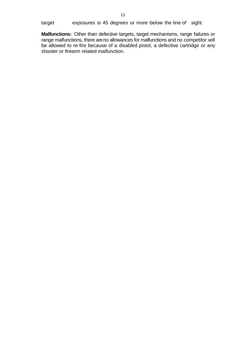target exposures is 45 degrees or more below the line of sight.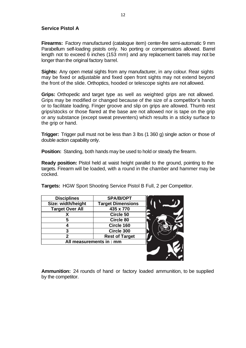# <span id="page-13-0"></span>**Service Pistol A**

**Firearms:** Factory manufactured (catalogue item) center-fire semi-automatic 9 mm Parabellum self-loading pistols only. No porting or compensators allowed. Barrel length not to exceed 6 inches (153 mm) and any replacement barrels may not be longer than the original factory barrel.

**Sights:** Any open metal sights from any manufacturer, in any colour. Rear sights may be fixed or adjustable and fixed open front sights may not extend beyond the front of the slide. Orthoptics, hooded or telescope sights are not allowed.

**Grips:** Orthopedic and target type as well as weighted grips are not allowed. Grips may be modified or changed because of the size of a competitor's hands or to facilitate loading. Finger groove and slip on grips are allowed. Thumb rest grips/stocks or those flared at the base are not allowed nor is tape on the grip or any substance (except sweat preventers) which results in a sticky surface to the grip or hand.

**Trigger:** Trigger pull must not be less than 3 lbs (1 360 g) single action or those of double action capability only.

**Position:** Standing, both hands may be used to hold or steady the firearm.

**Ready position:** Pistol held at waist height parallel to the ground, pointing to the targets. Firearm will be loaded, with a round in the chamber and hammer may be cocked.

| <b>Disciplines</b>     | <b>SPA/B/OPT</b>         |  |
|------------------------|--------------------------|--|
| Size: width/height     | <b>Target Dimensions</b> |  |
| <b>Target Over All</b> | 435 x 770                |  |
|                        | Circle 50                |  |
| 5                      | Circle 80                |  |
|                        | Circle 160               |  |
|                        | Circle 300               |  |
| 2                      | <b>Rest of Target</b>    |  |
|                        | All measurements in : mm |  |
|                        |                          |  |
|                        |                          |  |

**Targets:** HGW Sport Shooting Service Pistol B Full, 2 per Competitor.

**Ammunition:** 24 rounds of hand or factory loaded ammunition, to be supplied by the competitor.

 $\sim$   $\sim$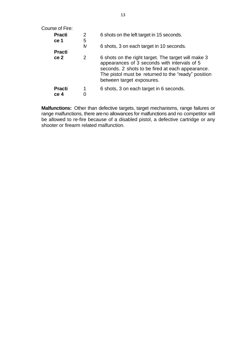| Course of Fire:       |                     |                                                                                                                                                                                                                                             |
|-----------------------|---------------------|---------------------------------------------------------------------------------------------------------------------------------------------------------------------------------------------------------------------------------------------|
| <b>Practi</b><br>ce 1 | $\overline{2}$<br>5 | 6 shots on the left target in 15 seconds.                                                                                                                                                                                                   |
| <b>Practi</b>         | M                   | 6 shots, 3 on each target in 10 seconds.                                                                                                                                                                                                    |
| ce <sub>2</sub>       | $\mathcal{P}$       | 6 shots on the right target. The target will make 3<br>appearances of 3 seconds with intervals of 5<br>seconds. 2 shots to be fired at each appearance.<br>The pistol must be returned to the "ready" position<br>between target exposures. |
| <b>Practi</b><br>ce 4 | 1                   | 6 shots, 3 on each target in 6 seconds.                                                                                                                                                                                                     |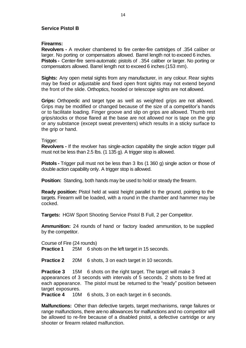# <span id="page-15-0"></span>**Service Pistol B**

# **Firearms:**

**Revolvers -** A revolver chambered to fire center-fire cartridges of .354 caliber or larger. No porting or compensators allowed. Barrel length not to exceed 6 inches. **Pistols -** Center-fire semi-automatic pistols of .354 caliber or larger. No porting or compensators allowed. Barrel length not to exceed 6 inches (153 mm).

**Sights:** Any open metal sights from any manufacturer, in any colour. Rear sights may be fixed or adjustable and fixed open front sights may not extend beyond the front of the slide. Orthoptics, hooded or telescope sights are not allowed.

**Grips:** Orthopedic and target type as well as weighted grips are not allowed. Grips may be modified or changed because of the size of a competitor's hands or to facilitate loading. Finger groove and slip on grips are allowed. Thumb rest grips/stocks or those flared at the base are not allowed nor is tape on the grip or any substance (except sweat preventers) which results in a sticky surface to the grip or hand.

#### Trigger:

**Revolvers -** If the revolver has single-action capability the single action trigger pull must not be less than 2.5 lbs. (1 135 g). A trigger stop is allowed.

**Pistols -** Trigger pull must not be less than 3 lbs (1 360 g) single action or those of double action capability only. A trigger stop is allowed.

**Position:** Standing, both hands may be used to hold or steady the firearm.

**Ready position:** Pistol held at waist height parallel to the ground, pointing to the targets. Firearm will be loaded, with a round in the chamber and hammer may be cocked.

**Targets:** HGW Sport Shooting Service Pistol B Full, 2 per Competitor.

**Ammunition:** 24 rounds of hand or factory loaded ammunition, to be supplied by the competitor.

Course of Fire (24 rounds) **Practice 1** 25M 6 shots on the left target in 15 seconds.

**Practice 2** 20M 6 shots, 3 on each target in 10 seconds.

**Practice 3** 15M 6 shots on the right target. The target will make 3 appearances of 3 seconds with intervals of 5 seconds. 2 shots to be fired at each appearance. The pistol must be returned to the "ready" position between target exposures.

**Practice 4** 10M 6 shots, 3 on each target in 6 seconds.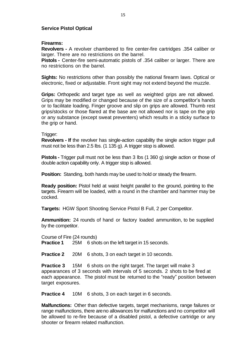# <span id="page-16-0"></span>**Service Pistol Optical**

### **Firearms:**

**Revolvers -** A revolver chambered to fire center-fire cartridges .354 caliber or larger. There are no restrictions on the barrel.

**Pistols -** Center-fire semi-automatic pistols of .354 caliber or larger. There are no restrictions on the barrel.

**Sights:** No restrictions other than possibly the national firearm laws. Optical or electronic, fixed or adjustable. Front sight may not extend beyond the muzzle.

**Grips:** Orthopedic and target type as well as weighted grips are not allowed. Grips may be modified or changed because of the size of a competitor's hands or to facilitate loading. Finger groove and slip on grips are allowed. Thumb rest grips/stocks or those flared at the base are not allowed nor is tape on the grip or any substance (except sweat preventers) which results in a sticky surface to the grip or hand.

#### Trigger:

**Revolvers - If** the revolver has single-action capability the single action trigger pull must not be less than 2.5 lbs. (1 135 g). A trigger stop is allowed.

**Pistols -** Trigger pull must not be less than 3 lbs (1 360 g) single action or those of double action capability only. A trigger stop is allowed.

**Position:** Standing, both hands may be used to hold or steady the firearm.

**Ready position:** Pistol held at waist height parallel to the ground, pointing to the targets. Firearm will be loaded, with a round in the chamber and hammer may be cocked.

**Targets:** HGW Sport Shooting Service Pistol B Full, 2 per Competitor.

**Ammunition:** 24 rounds of hand or factory loaded ammunition, to be supplied by the competitor.

Course of Fire (24 rounds) **Practice 1** 25M 6 shots on the left target in 15 seconds.

**Practice 2** 20M 6 shots, 3 on each target in 10 seconds.

**Practice 3** 15M 6 shots on the right target. The target will make 3 appearances of 3 seconds with intervals of 5 seconds. 2 shots to be fired at each appearance. The pistol must be returned to the "ready" position between target exposures.

**Practice 4** 10M 6 shots, 3 on each target in 6 seconds.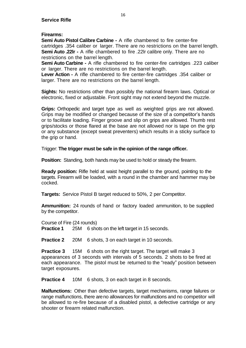# <span id="page-17-0"></span>**Firearms:**

**Semi Auto Pistol Calibre Carbine -** A rifle chambered to fire center-fire cartridges .354 caliber or larger. There are no restrictions on the barrel length. **Semi Auto .22lr -** A rifle chambered to fire .22lr calibre only. There are no restrictions on the barrel length.

**Semi Auto Carbine -** A rifle chambered to fire center-fire cartridges .223 caliber or larger. There are no restrictions on the barrel length.

**Lever Action -** A rifle chambered to fire center-fire cartridges .354 caliber or larger. There are no restrictions on the barrel length.

**Sights:** No restrictions other than possibly the national firearm laws. Optical or electronic, fixed or adjustable. Front sight may not extend beyond the muzzle.

**Grips:** Orthopedic and target type as well as weighted grips are not allowed. Grips may be modified or changed because of the size of a competitor's hands or to facilitate loading. Finger groove and slip on grips are allowed. Thumb rest grips/stocks or those flared at the base are not allowed nor is tape on the grip or any substance (except sweat preventers) which results in a sticky surface to the grip or hand.

Trigger: **The trigger must be safe in the opinion of the range officer.**

**Position:** Standing, both hands may be used to hold or steady the firearm.

**Ready position:** Rifle held at waist height parallel to the ground, pointing to the targets. Firearm will be loaded, with a round in the chamber and hammer may be cocked.

**Targets:** Service Pistol B target reduced to 50%, 2 per Competitor.

**Ammunition:** 24 rounds of hand or factory loaded ammunition, to be supplied by the competitor.

Course of Fire (24 rounds) **Practice 1** 25M 6 shots on the left target in 15 seconds.

**Practice 2** 20M 6 shots, 3 on each target in 10 seconds.

**Practice 3** 15M 6 shots on the right target. The target will make 3 appearances of 3 seconds with intervals of 5 seconds. 2 shots to be fired at each appearance. The pistol must be returned to the "ready" position between target exposures.

**Practice 4** 10M 6 shots, 3 on each target in 8 seconds.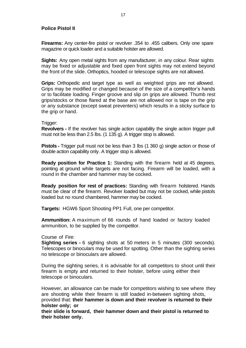# <span id="page-18-0"></span>**Police Pistol II**

**Firearms:** Any center-fire pistol or revolver .354 to .455 calibers. Only one spare magazine or quick loader and a suitable holster are allowed.

**Sights:** Any open metal sights from any manufacturer, in any colour. Rear sights may be fixed or adjustable and fixed open front sights may not extend beyond the front of the slide. Orthoptics, hooded or telescope sights are not allowed.

**Grips:** Orthopedic and target type as well as weighted grips are not allowed. Grips may be modified or changed because of the size of a competitor's hands or to facilitate loading. Finger groove and slip on grips are allowed. Thumb rest grips/stocks or those flared at the base are not allowed nor is tape on the grip or any substance (except sweat preventers) which results in a sticky surface to the grip or hand.

#### Trigger:

**Revolvers -** If the revolver has single action capability the single action trigger pull must not be less than 2.5 lbs. (1 135 g). A trigger stop is allowed.

**Pistols -** Trigger pull must not be less than 3 lbs (1 360 g) single action or those of double action capability only. A trigger stop is allowed.

**Ready position for Practice 1:** Standing with the firearm held at 45 degrees, pointing at ground while targets are not facing. Firearm will be loaded, with a round in the chamber and hammer may be cocked.

**Ready position for rest of practices:** Standing with firearm holstered. Hands must be clear of the firearm. Revolver loaded but may not be cocked, while pistols loaded but no round chambered, hammer may be cocked.

**Targets:** HGW6 Sport Shooting PP1 Full, one per competitor.

**Ammunition:** A maximum of 66 rounds of hand loaded or factory loaded ammunition, to be supplied by the competitor.

#### Course of Fire:

**Sighting series -** 6 sighting shots at 50 meters in 5 minutes (300 seconds). Telescopes or binoculars may be used for spotting. Other than the sighting series no telescope or binoculars are allowed.

During the sighting series, it is advisable for all competitors to shoot until their firearm is empty and returned to their holster, before using either their telescope or binoculars.

However, an allowance can be made for competitors wishing to see where they are shooting while their firearm is still loaded in-between sighting shots, provided that: **their hammer is down and their revolver is returned to their holster only; or**

**their slide is forward, their hammer down and their pistol is returned to their holster only.**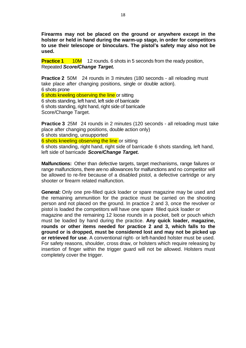**Firearms may not be placed on the ground or anywhere except in the holster or held in hand during the warm-up stage, in order for competitors to use their telescope or binoculars. The pistol's safety may also not be used.**

**Practice 1** 10M 12 rounds. 6 shots in 5 seconds from the ready position, Repeated *Score/Change Target.*

**Practice 2** 50M 24 rounds in 3 minutes (180 seconds - all reloading must take place after changing positions, single or double action). 6 shots prone 6 shots kneeling observing the line or sitting 6 shots standing, left hand, left side of barricade 6 shots standing, right hand, right side of barricade Score/Change Target.

**Practice 3** 25M 24 rounds in 2 minutes (120 seconds - all reloading must take place after changing positions, double action only)

6 shots standing, unsupported

6 shots kneeling observing the line or sitting

6 shots standing, right hand, right side of barricade 6 shots standing, left hand, left side of barricade *Score/Change Target.*

**Malfunctions:** Other than defective targets, target mechanisms, range failures or range malfunctions, there areno allowances for malfunctions and no competitor will be allowed to re-fire because of a disabled pistol, a defective cartridge or any shooter or firearm related malfunction.

**General:** Only one pre-filled quick loader or spare magazine may be used and the remaining ammunition for the practice must be carried on the shooting person and not placed on the ground. In practice 2 and 3, once the revolver or pistol is loaded the competitors will have one spare filled quick loader or magazine and the remaining 12 loose rounds in a pocket, belt or pouch which must be loaded by hand during the practice. **Any quick loader, magazine, rounds or other items needed for practice 2 and 3, which falls to the ground or is dropped, must be considered lost and may not be picked up or retrieved for use**. A conventional right- or left-handed holster must be used. For safety reasons, shoulder, cross draw, or holsters which require releasing by insertion of finger within the trigger guard will not be allowed. Holsters must completely cover the trigger.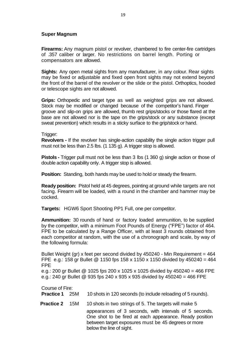# <span id="page-20-0"></span>**Super Magnum**

**Firearms:** Any magnum pistol or revolver, chambered to fire center-fire cartridges of .357 caliber or larger. No restrictions on barrel length. Porting or compensators are allowed.

**Sights:** Any open metal sights from any manufacturer, in any colour. Rear sights may be fixed or adjustable and fixed open front sights may not extend beyond the front of the barrel of the revolver or the slide or the pistol. Orthoptics, hooded or telescope sights are not allowed.

**Grips:** Orthopedic and target type as well as weighted grips are not allowed. Stock may be modified or changed because of the competitor's hand. Finger groove and slip-on grips are allowed, thumb rest grips/stocks or those flared at the base are not allowed nor is the tape on the grips/stock or any substance (except sweat prevention) which results in a sticky surface to the grip/stock or hand.

#### Trigger:

**Revolvers -** If the revolver has single-action capability the single action trigger pull must not be less than 2.5 lbs. (1 135 g). A trigger stop is allowed.

**Pistols -** Trigger pull must not be less than 3 lbs (1 360 g) single action or those of double action capability only. A trigger stop is allowed.

**Position:** Standing, both hands may be used to hold or steady the firearm.

**Ready position:** Pistol held at 45 degrees, pointing at ground while targets are not facing. Firearm will be loaded, with a round in the chamber and hammer may be cocked.

**Targets:** HGW6 Sport Shooting PP1 Full, one per competitor.

**Ammunition:** 30 rounds of hand or factory loaded ammunition, to be supplied by the competitor, with a minimum Foot Pounds of Energy ("FPE") factor of 464. FPE to be calculated by a Range Officer, with at least 3 rounds obtained from each competitor at random, with the use of a chronograph and scale, by way of the following formula:

Bullet Weight (gr) x feet per second divided by 450240 - Min Requirement = 464 FPE e.g.: 158 gr Bullet @ 1150 fps 158 x 1150 x 1150 divided by 450240 = 464 FPE

e.g.: 200 gr Bullet  $@$  1025 fps 200 x 1025 x 1025 divided by 450240 = 466 FPE e.g.: 240 gr Bullet  $\textcircled{2}$  935 fps 240 x 935 x 935 divided by 450240 = 466 FPE

| <b>Practice 1</b> 25M | 10 shots in 120 seconds (to include reloading of 5 rounds).                                                                                                                                                                                                   |
|-----------------------|---------------------------------------------------------------------------------------------------------------------------------------------------------------------------------------------------------------------------------------------------------------|
| <b>Practice 2</b> 15M | 10 shots in two strings of 5. The targets will make 5<br>appearances of 3 seconds, with intervals of 5 seconds.<br>One shot to be fired at each appearance. Ready position<br>between target exposures must be 45 degrees or more<br>below the line of sight. |
|                       |                                                                                                                                                                                                                                                               |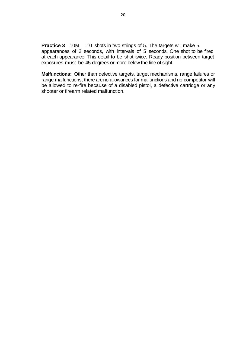**Practice 3** 10M 10 shots in two strings of 5. The targets will make 5 appearances of 2 seconds, with intervals of 5 seconds. One shot to be fired at each appearance. This detail to be shot twice. Ready position between target exposures must be 45 degrees or more below the line of sight.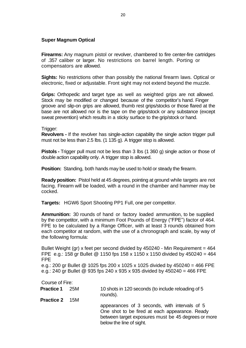# <span id="page-22-0"></span>**Super Magnum Optical**

**Firearms:** Any magnum pistol or revolver, chambered to fire center-fire cartridges of .357 caliber or larger. No restrictions on barrel length. Porting or compensators are allowed.

**Sights:** No restrictions other than possibly the national firearm laws. Optical or electronic, fixed or adjustable. Front sight may not extend beyond the muzzle.

**Grips:** Orthopedic and target type as well as weighted grips are not allowed. Stock may be modified or changed because of the competitor's hand. Finger groove and slip-on grips are allowed, thumb rest grips/stocks or those flared at the base are not allowed nor is the tape on the grips/stock or any substance (except sweat prevention) which results in a sticky surface to the grip/stock or hand.

Trigger:

**Revolvers -** If the revolver has single-action capability the single action trigger pull must not be less than 2.5 lbs. (1 135 g). A trigger stop is allowed.

**Pistols -** Trigger pull must not be less than 3 lbs (1 360 g) single action or those of double action capability only. A trigger stop is allowed.

**Position:** Standing, both hands may be used to hold or steady the firearm.

**Ready position:** Pistol held at 45 degrees, pointing at ground while targets are not facing. Firearm will be loaded, with a round in the chamber and hammer may be cocked.

**Targets:** HGW6 Sport Shooting PP1 Full, one per competitor.

**Ammunition:** 30 rounds of hand or factory loaded ammunition, to be supplied by the competitor, with a minimum Foot Pounds of Energy ("FPE") factor of 464. FPE to be calculated by a Range Officer, with at least 3 rounds obtained from each competitor at random, with the use of a chronograph and scale, by way of the following formula:

Bullet Weight (gr) x feet per second divided by 450240 - Min Requirement = 464 FPE e.g.: 158 gr Bullet @ 1150 fps 158 x 1150 x 1150 divided by 450240 = 464 FPE

e.g.: 200 gr Bullet  $@$  1025 fps 200 x 1025 x 1025 divided by 450240 = 466 FPE e.g.: 240 gr Bullet  $\omega$  935 fps 240 x 935 x 935 divided by 450240 = 466 FPE

Course of Fire:

| <b>Practice 1</b> 25M | 10 shots in 120 seconds (to include reloading of 5 |
|-----------------------|----------------------------------------------------|
|                       | rounds).                                           |

**Practice 2** 15M

appearances of 3 seconds, with intervals of 5 One shot to be fired at each appearance. Ready between target exposures must be 45 degrees or more below the line of sight.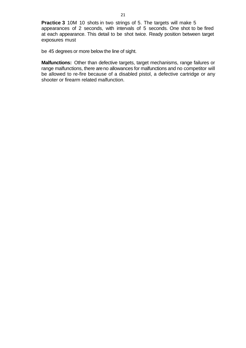**Practice 3** 10M 10 shots in two strings of 5. The targets will make 5 appearances of 2 seconds, with intervals of 5 seconds. One shot to be fired at each appearance. This detail to be shot twice. Ready position between target exposures must

be 45 degrees or more below the line of sight.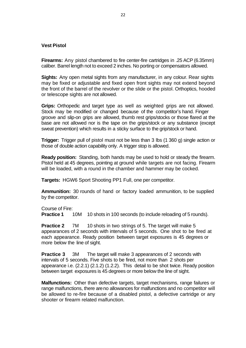# <span id="page-24-0"></span>**Vest Pistol**

**Firearms:** Any pistol chambered to fire center-fire cartridges in .25 ACP (6.35mm) caliber. Barrel length not to exceed 2 inches. No porting or compensators allowed.

**Sights:** Any open metal sights from any manufacturer, in any colour. Rear sights may be fixed or adjustable and fixed open front sights may not extend beyond the front of the barrel of the revolver or the slide or the pistol. Orthoptics, hooded or telescope sights are not allowed.

**Grips:** Orthopedic and target type as well as weighted grips are not allowed. Stock may be modified or changed because of the competitor's hand. Finger groove and slip-on grips are allowed, thumb rest grips/stocks or those flared at the base are not allowed nor is the tape on the grips/stock or any substance (except sweat prevention) which results in a sticky surface to the grip/stock or hand.

**Trigger:** Trigger pull of pistol must not be less than 3 lbs (1 360 g) single action or those of double action capability only. A trigger stop is allowed.

**Ready position:** Standing, both hands may be used to hold or steady the firearm. Pistol held at 45 degrees, pointing at ground while targets are not facing. Firearm will be loaded, with a round in the chamber and hammer may be cocked.

**Targets:** HGW6 Sport Shooting PP1 Full, one per competitor.

**Ammunition:** 30 rounds of hand or factory loaded ammunition, to be supplied by the competitor.

Course of Fire: **Practice 1** 10M 10 shots in 100 seconds (to include reloading of 5 rounds).

**Practice 2** 7M 10 shots in two strings of 5. The target will make 5 appearances of 2 seconds with intervals of 5 seconds. One shot to be fired at each appearance. Ready position between target exposures is 45 degrees or more below the line of sight.

**Practice 3** 3M The target will make 3 appearances of 2 seconds with intervals of 5 seconds. Five shots to be fired, not more than 2 shots per appearance i.e. (2.2.1) (2.1.2) (1.2.2). This detail to be shot twice. Ready position between target exposures is 45 degrees or more below the line of sight.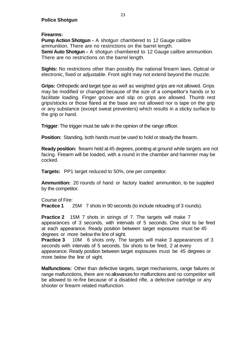# <span id="page-25-0"></span>**Firearms:**

**Pump Action Shotgun -** A shotgun chambered to 12 Gauge calibre ammunition. There are no restrictions on the barrel length. **Semi Auto Shotgun -** A shotgun chambered to 12 Gauge calibre ammunition. There are no restrictions on the barrel length.

**Sights:** No restrictions other than possibly the national firearm laws. Optical or electronic, fixed or adjustable. Front sight may not extend beyond the muzzle.

**Grips:** Orthopedic and target type as well as weighted grips are not allowed. Grips may be modified or changed because of the size of a competitor's hands or to facilitate loading. Finger groove and slip on grips are allowed. Thumb rest grips/stocks or those flared at the base are not allowed nor is tape on the grip or any substance (except sweat preventers) which results in a sticky surface to the grip or hand.

**Trigger:** The trigger must be safe in the opinion of the range officer.

**Position:** Standing, both hands must be used to hold or steady the firearm.

**Ready position:** firearm held at 45 degrees, pointing at ground while targets are not facing. Firearm will be loaded, with a round in the chamber and hammer may be cocked.

**Targets:** PP1 target reduced to 50%, one per competitor.

**Ammunition:** 20 rounds of hand or factory loaded ammunition, to be supplied by the competitor.

Course of Fire:

**Practice 1** 25M 7 shots in 90 seconds (to include reloading of 3 rounds).

**Practice 2** 15M 7 shots in strings of 7. The targets will make 7 appearances of 3 seconds, with intervals of 5 seconds. One shot to be fired at each appearance. Ready position between target exposures must be 45 degrees or more below the line of sight.

**Practice 3** 10M 6 shots only. The targets will make 3 appearances of 3 seconds with intervals of 5 seconds. Six shots to be fired, 2 at every appearance. Ready position between target exposures must be 45 degrees or more below the line of sight.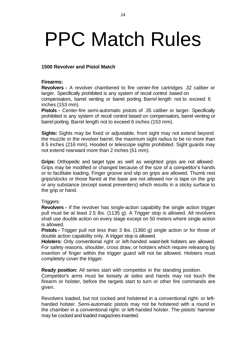# <span id="page-26-0"></span>PPC Match Rules

# <span id="page-26-1"></span>**1500 Revolver and Pistol Match**

#### **Firearms:**

**Revolvers -** A revolver chambered to fire center-fire cartridges .32 caliber or larger. Specifically prohibited is any system of recoil control based on compensators, barrel venting or barrel porting. Barrel length not to exceed 6 inches (153 mm).

**Pistols -** Center-fire semi-automatic pistols of .35 caliber or larger. Specifically prohibited is any system of recoil control based on compensators, barrel venting or barrel porting. Barrel length not to exceed 6 inches (153 mm).

**Sights:** Sights may be fixed or adjustable, front sight may not extend beyond the muzzle or the revolver barrel, the maximum sight radius to be no more than 8.5 inches (216 mm). Hooded or telescope sights prohibited. Sight guards may not extend rearward more than 2 inches (51 mm).

**Grips:** Orthopedic and target type as well as weighted grips are not allowed. Grips may be modified or changed because of the size of a competitor's hands or to facilitate loading. Finger groove and slip on grips are allowed. Thumb rest grips/stocks or those flared at the base are not allowed nor is tape on the grip or any substance (except sweat preventers) which results in a sticky surface to the grip or hand.

### Triggers:

**Revolvers -** If the revolver has single-action capability the single action trigger pull must be at least 2.5 lbs. (1135 g). A Trigger stop is allowed. All revolvers shall use double action on every stage except on 50 meters where single action is allowed.

**Pistols -** Trigger pull not less than 3 lbs. (1360 g) single action or for those of double action capability only. A trigger stop is allowed.

**Holsters:** Only conventional right or left-handed waist-belt holsters are allowed. For safety reasons, shoulder, cross draw, or holsters which require releasing by insertion of finger within the trigger guard will not be allowed. Holsters must completely cover the trigger.

**Ready position:** All series start with competitor in the standing position.

Competitor's arms must be loosely at sides and hands may not touch the firearm or holster, before the targets start to turn or other fire commands are given.

Revolvers loaded, but not cocked and holstered in a conventional right- or lefthanded holster. Semi-automatic pistols may not be holstered with a round in the chamber in a conventional right- or left-handed holster. The pistols' hammer may be cocked and loaded magazines inserted.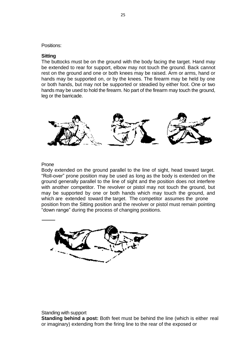Positions:

# **Sitting**

The buttocks must be on the ground with the body facing the target. Hand may be extended to rear for support, elbow may not touch the ground. Back cannot rest on the ground and one or both knees may be raised. Arm or arms, hand or hands may be supported on, or by the knees. The firearm may be held by one or both hands, but may not be supported or steadied by either foot. One or two hands may be used to hold the firearm. No part of the firearm may touch the ground, leg or the barricade.



# Prone

Body extended on the ground parallel to the line of sight, head toward target. "Roll-over" prone position may be used as long as the body is extended on the ground generally parallel to the line of sight and the position does not interfere with another competitor. The revolver or pistol may not touch the ground, but may be supported by one or both hands which may touch the ground, and which are extended toward the target. The competitor assumes the prone position from the Sitting position and the revolver or pistol must remain pointing "down range" during the process of changing positions.



Standing with support

**Standing behind a post:** Both feet must be behind the line (which is either real or imaginary) extending from the firing line to the rear of the exposed or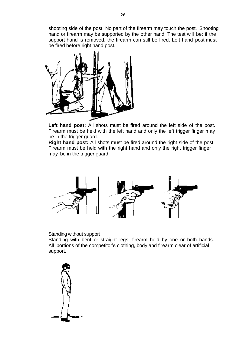shooting side of the post. No part of the firearm may touch the post. Shooting hand or firearm may be supported by the other hand. The test will be: if the support hand is removed, the firearm can still be fired. Left hand post must be fired before right hand post.



**Left hand post:** All shots must be fired around the left side of the post. Firearm must be held with the left hand and only the left trigger finger may be in the trigger guard.

**Right hand post:** All shots must be fired around the right side of the post. Firearm must be held with the right hand and only the right trigger finger may be in the trigger guard.



Standing without support

Standing with bent or straight legs, firearm held by one or both hands. All portions of the competitor's clothing, body and firearm clear of artificial support.

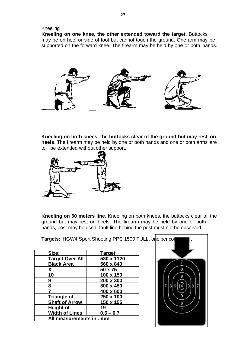# Kneeling

**Kneeling on one knee, the other extended toward the target.** Buttocks may be on heel or side of foot but cannot touch the ground. One arm may be supported on the forward knee. The firearm may be held by one or both hands.



**Kneeling on both knees, the buttocks clear of the ground but may rest on heels**. The firearm may be held by one or both hands and one or both arms are to be extended without other support.



**Kneeling on 50 meters line**. Kneeling on both knees, the buttocks clear of the ground but may rest on heels. The firearm may be held by one or both hands, post may be used, fault line behind the post must not be observed.

| Size:                   | <b>Target</b> |  |
|-------------------------|---------------|--|
| <b>Target Over All</b>  | 580 x 1120    |  |
| <b>Black Area</b>       | 560 x 840     |  |
| χ                       | 50 x 75       |  |
| 10                      | 100 x 150     |  |
| 9                       | 200 x 300     |  |
| 8                       | 300 x 450     |  |
|                         | 400 x 600     |  |
| <b>Triangle of</b>      | 250 x 100     |  |
| <b>Shaft of Arrow</b>   | 150 x 155     |  |
| <b>Height of</b>        | 19            |  |
| <b>Width of Lines</b>   | $0.6 - 0.7$   |  |
| All measurements in: mm |               |  |

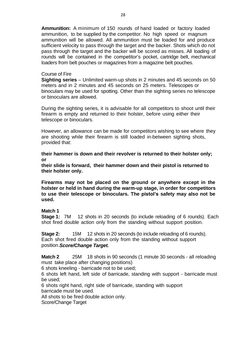**Ammunition:** A minimum of 150 rounds of hand loaded or factory loaded ammunition, to be supplied by the competitor. No high speed or magnum ammunition will be allowed. All ammunition must be loaded for and produce sufficient velocity to pass through the target and the backer. Shots which do not pass through the target and the backer will be scored as misses. All loading of rounds will be contained in the competitor's pocket, cartridge belt, mechanical loaders from belt pouches or magazines from a magazine belt pouches.

#### Course of Fire

**Sighting series** – Unlimited warm-up shots in 2 minutes and 45 seconds on 50 meters and in 2 minutes and 45 seconds on 25 meters. Telescopes or binoculars may be used for spotting. Other than the sighting series no telescope or binoculars are allowed.

During the sighting series, it is advisable for all competitors to shoot until their firearm is empty and returned to their holster, before using either their telescope or binoculars.

However, an allowance can be made for competitors wishing to see where they are shooting while their firearm is still loaded in-between sighting shots, provided that:

**their hammer is down and their revolver is returned to their holster only; or**

**their slide is forward, their hammer down and their pistol is returned to their holster only.**

**Firearms may not be placed on the ground or anywhere except in the holster or held in hand during the warm-up stage, in order for competitors to use their telescope or binoculars. The pistol's safety may also not be used.**

#### **Match 1**

**Stage 1:** 7M 12 shots in 20 seconds (to include reloading of 6 rounds). Each shot fired double action only from the standing without support position.

**Stage 2:** 15M 12 shots in 20 seconds (to include reloading of 6 rounds). Each shot fired double action only from the standing without support position.*Score/Change Target.*

**Match 2** 25M 18 shots in 90 seconds (1 minute 30 seconds - all reloading must take place after changing positions)

6 shots kneeling - barricade not to be used;

6 shots left hand, left side of barricade, standing with support - barricade must be used;

6 shots right hand, right side of barricade, standing with support barricade must be used.

All shots to be fired double action only. Score/Change Target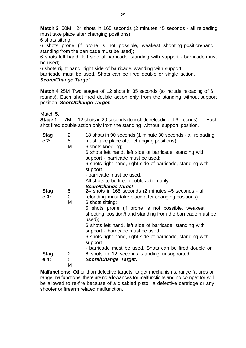**Match 3** 50M 24 shots in 165 seconds (2 minutes 45 seconds - all reloading must take place after changing positions)

6 shots sitting;

6 shots prone (if prone is not possible, weakest shooting position/hand standing from the barricade must be used);

6 shots left hand, left side of barricade, standing with support - barricade must be used;

6 shots right hand, right side of barricade, standing with support barricade must be used. Shots can be fired double or single action.

# *Score/Change Target.*

**Match 4** 25M Two stages of 12 shots in 35 seconds (to include reloading of 6 rounds). Each shot fired double action only from the standing without support position. *Score/Change Target.*

Match 5:

**Stage 1:** 7M 12 shots in 20 seconds (to include reloading of 6 rounds). Each shot fired double action only from the standing without support position.

| <b>Stag</b> | 2              | 18 shots in 90 seconds (1 minute 30 seconds - all reloading                                   |
|-------------|----------------|-----------------------------------------------------------------------------------------------|
| $e2$ :      | 5              | must take place after changing positions)                                                     |
|             | M              | 6 shots kneeling;                                                                             |
|             |                | 6 shots left hand, left side of barricade, standing with<br>support - barricade must be used; |
|             |                | 6 shots right hand, right side of barricade, standing with<br>support                         |
|             |                | - barricade must be used.                                                                     |
|             |                | All shots to be fired double action only.                                                     |
|             |                | <b>Score/Change Target</b>                                                                    |
| <b>Stag</b> | 5 <sup>5</sup> | 24 shots in 165 seconds (2 minutes 45 seconds - all                                           |
| $e3$ :      | 0              | reloading must take place after changing positions).                                          |
|             | M              | 6 shots sitting;                                                                              |
|             |                | 6 shots prone (if prone is not possible, weakest                                              |
|             |                | shooting position/hand standing from the barricade must be<br>used);                          |
|             |                | 6 shots left hand, left side of barricade, standing with                                      |
|             |                | support - barricade must be used;                                                             |
|             |                | 6 shots right hand, right side of barricade, standing with                                    |
|             |                | support                                                                                       |
|             |                | - barricade must be used. Shots can be fired double or                                        |
| <b>Stag</b> | 2              | 6 shots in 12 seconds standing unsupported.                                                   |
| e 4:        | 5              | <b>Score/Change Target.</b>                                                                   |
|             | М              |                                                                                               |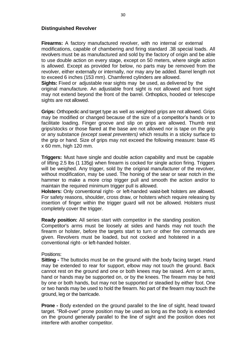# <span id="page-32-0"></span>**Distinguished Revolver**

**Firearms:** A factory manufactured revolver, with no internal or external modifications, capable of chambering and firing standard .38 special loads. All revolvers must be as manufactured and sold by the factory of origin and be able to use double action on every stage, except on 50 meters, where single action is allowed. Except as provided for below, no parts may be removed from the revolver, either externally or internally, nor may any be added. Barrel length not to exceed 6 inches (153 mm). Chamfered cylinders are allowed.

**Sights:** Fixed or adjustable rear sights may be used, as delivered by the original manufacture. An adjustable front sight is not allowed and front sight may not extend beyond the front of the barrel. Orthoptics, hooded or telescope sights are not allowed.

**Grips:** Orthopedic and target type as well as weighted grips are not allowed. Grips may be modified or changed because of the size of a competitor's hands or to facilitate loading. Finger groove and slip on grips are allowed. Thumb rest grips/stocks or those flared at the base are not allowed nor is tape on the grip or any substance *(except sweat preventers)* which results in a sticky surface to the grip or hand. Size of grips may not exceed the following measure: base 45 x 60 mm, high 120 mm.

**Triggers:** Must have single and double action capability and must be capable of lifting 2.5 lbs (1 135g) when firearm is cocked for single action firing. Triggers will be weighed. Any trigger, sold by the original manufacturer of the revolver, without modification, may be used. The honing of the sear or sear notch in the hammer to make a more crisp trigger pull and smooth the action and/or to maintain the required minimum trigger pull is allowed.

**Holsters:** Only conventional right- or left-handed waist-belt holsters are allowed. For safety reasons, shoulder, cross draw, or holsters which require releasing by insertion of finger within the trigger guard will not be allowed. Holsters must completely cover the trigger.

**Ready position:** All series start with competitor in the standing position. Competitor's arms must be loosely at sides and hands may not touch the firearm or holster, before the targets start to turn or other fire commands are given. Revolvers must be loaded, but not cocked and holstered in a conventional right- or left-handed holster.

### Positions:

**Sitting** - The buttocks must be on the ground with the body facing target. Hand may be extended to rear for support, elbow may not touch the ground. Back cannot rest on the ground and one or both knees may be raised. Arm or arms, hand or hands may be supported on, or by the knees. The firearm may be held by one or both hands, but may not be supported or steadied by either foot. One or two hands may be used to hold the firearm. No part of the firearm may touch the ground, leg or the barricade.

**Prone -** Body extended on the ground parallel to the line of sight, head toward target. "Roll-over" prone position may be used as long as the body is extended on the ground generally parallel to the line of sight and the position does not interfere with another competitor.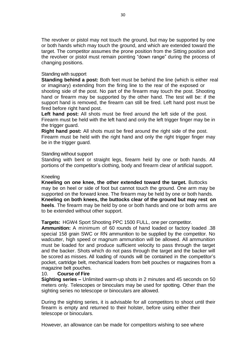The revolver or pistol may not touch the ground, but may be supported by one or both hands which may touch the ground, and which are extended toward the target. The competitor assumes the prone position from the Sitting position and the revolver or pistol must remain pointing "down range" during the process of changing positions.

# Standing with support

**Standing behind a post:** Both feet must be behind the line (which is either real or imaginary) extending from the firing line to the rear of the exposed or shooting side of the post. No part of the firearm may touch the post. Shooting hand or firearm may be supported by the other hand. The test will be: if the support hand is removed, the firearm can still be fired. Left hand post must be fired before right hand post.

**Left hand post:** All shots must be fired around the left side of the post. Firearm must be held with the left hand and only the left trigger finger may be in the trigger guard.

**Right hand post:** All shots must be fired around the right side of the post. Firearm must be held with the right hand and only the right trigger finger may be in the trigger guard.

### Standing without support

Standing with bent or straight legs, firearm held by one or both hands. All portions of the competitor's clothing, body and firearm clear of artificial support.

### Kneeling

**Kneeling on one knee, the other extended toward the target.** Buttocks may be on heel or side of foot but cannot touch the ground. One arm may be supported on the forward knee. The firearm may be held by one or both hands. **Kneeling on both knees, the buttocks clear of the ground but may rest on heels**. The firearm may be held by one or both hands and one or both arms are to be extended without other support.

**Targets:** HGW4 Sport Shooting PPC 1500 FULL, one per competitor.

**Ammunition:** A minimum of 60 rounds of hand loaded or factory loaded .38 special 158 grain SWC or RN ammunition to be supplied by the competitor. No wadcutter, high speed or magnum ammunition will be allowed. All ammunition must be loaded for and produce sufficient velocity to pass through the target and the backer. Shots which do not pass through the target and the backer will be scored as misses. All loading of rounds will be contained in the competitor's pocket, cartridge belt, mechanical loaders from belt pouches or magazines from a magazine belt pouches.

### 10. **Course of Fire**

**Sighting series –** Unlimited warm-up shots in 2 minutes and 45 seconds on 50 meters only. Telescopes or binoculars may be used for spotting. Other than the sighting series no telescope or binoculars are allowed.

During the sighting series, it is advisable for all competitors to shoot until their firearm is empty and returned to their holster, before using either their telescope or binoculars.

However, an allowance can be made for competitors wishing to see where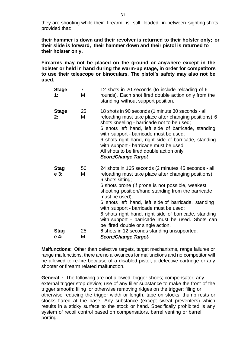they are shooting while their firearm is still loaded in-between sighting shots, provided that:

**their hammer is down and their revolver is returned to their holster only; or their slide is forward, their hammer down and their pistol is returned to their holster only.**

**Firearms may not be placed on the ground or anywhere except in the holster or held in hand during the warm-up stage, in order for competitors to use their telescope or binoculars. The pistol's safety may also not be used.**

| <b>Stage</b><br>1:    | $\overline{7}$<br>M | 12 shots in 20 seconds (to include reloading of 6<br>rounds). Each shot fired double action only from the<br>standing without support position.                                                                                                                                                                                                                                                                                                                                                                |
|-----------------------|---------------------|----------------------------------------------------------------------------------------------------------------------------------------------------------------------------------------------------------------------------------------------------------------------------------------------------------------------------------------------------------------------------------------------------------------------------------------------------------------------------------------------------------------|
| <b>Stage</b><br>2:    | 25<br>M             | 18 shots in 90 seconds (1 minute 30 seconds - all<br>reloading must take place after changing positions) 6<br>shots kneeling - barricade not to be used;<br>6 shots left hand, left side of barricade, standing<br>with support - barricade must be used;<br>6 shots right hand, right side of barricade, standing<br>with support - barricade must be used.<br>All shots to be fired double action only.<br><b>Score/Change Target</b>                                                                        |
| <b>Stag</b><br>$e3$ : | 50<br>M             | 24 shots in 165 seconds (2 minutes 45 seconds - all<br>reloading must take place after changing positions).<br>6 shots sitting;<br>6 shots prone (if prone is not possible, weakest<br>shooting position/hand standing from the barricade<br>must be used);<br>6 shots left hand, left side of barricade, standing<br>with support - barricade must be used;<br>6 shots right hand, right side of barricade, standing<br>with support - barricade must be used. Shots can<br>be fired double or single action. |
| <b>Stag</b><br>e 4:   | 25<br>M             | 6 shots in 12 seconds standing unsupported.<br><b>Score/Change Target.</b>                                                                                                                                                                                                                                                                                                                                                                                                                                     |
|                       |                     |                                                                                                                                                                                                                                                                                                                                                                                                                                                                                                                |

**Malfunctions:** Other than defective targets, target mechanisms, range failures or range malfunctions, there areno allowances for malfunctions and no competitor will be allowed to re-fire because of a disabled pistol, a defective cartridge or any shooter or firearm related malfunction.

**General :** The following are not allowed: trigger shoes; compensator; any external trigger stop device; use of any filler substance to make the front of the trigger smooth; filing or otherwise removing ridges on the trigger; filing or otherwise reducing the trigger width or length, tape on stocks, thumb rests or stocks flared at the base. Any substance (except sweat preventers) which results in a sticky surface to the stock or hand. Specifically prohibited is any system of recoil control based on compensators, barrel venting or barrel porting.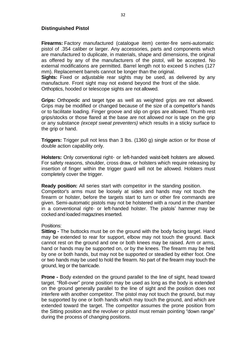# <span id="page-35-0"></span>**Distinguished Pistol**

**Firearms:** Factory manufactured (catalogue item) center-fire semi-automatic pistol of .354 caliber or larger. Any accessories, parts and components which are manufactured to duplicate, in materials, shape and dimensions, the original as offered by any of the manufacturers of the pistol, will be accepted. No external modifications are permitted. Barrel length not to exceed 5 inches (127 mm). Replacement barrels cannot be longer than the original.

**Sights:** Fixed or adjustable rear sights may be used, as delivered by any manufacture. Front sight may not extend beyond the front of the slide. Orthoptics, hooded or telescope sights are not allowed.

**Grips:** Orthopedic and target type as well as weighted grips are not allowed. Grips may be modified or changed because of the size of a competitor's hands or to facilitate loading. Finger groove and slip on grips are allowed. Thumb rest grips/stocks or those flared at the base are not allowed nor is tape on the grip or any substance *(except sweat preventers)* which results in a sticky surface to the grip or hand.

**Triggers:** Trigger pull not less than 3 lbs. (1360 g) single action or for those of double action capability only.

**Holsters:** Only conventional right- or left-handed waist-belt holsters are allowed. For safety reasons, shoulder, cross draw, or holsters which require releasing by insertion of finger within the trigger guard will not be allowed. Holsters must completely cover the trigger.

**Ready position:** All series start with competitor in the standing position. Competitor's arms must be loosely at sides and hands may not touch the firearm or holster, before the targets start to turn or other fire commands are given. Semi-automatic pistols may not be holstered with a round in the chamber in a conventional right- or left-handed holster. The pistols' hammer may be cocked and loaded magazines inserted.

### Positions:

**Sitting** - The buttocks must be on the ground with the body facing target. Hand may be extended to rear for support, elbow may not touch the ground. Back cannot rest on the ground and one or both knees may be raised. Arm or arms, hand or hands may be supported on, or by the knees. The firearm may be held by one or both hands, but may not be supported or steadied by either foot. One or two hands may be used to hold the firearm. No part of the firearm may touch the ground, leg or the barricade.

**Prone -** Body extended on the ground parallel to the line of sight, head toward target. "Roll-over" prone position may be used as long as the body is extended on the ground generally parallel to the line of sight and the position does not interfere with another competitor. The pistol may not touch the ground, but may be supported by one or both hands which may touch the ground, and which are extended toward the target. The competitor assumes the prone position from the Sitting position and the revolver or pistol must remain pointing "down range" during the process of changing positions.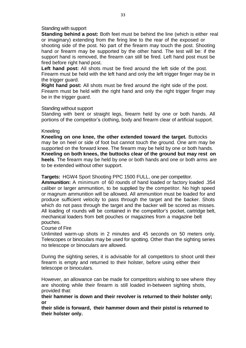# Standing with support

**Standing behind a post:** Both feet must be behind the line (which is either real or imaginary) extending from the firing line to the rear of the exposed or shooting side of the post. No part of the firearm may touch the post. Shooting hand or firearm may be supported by the other hand. The test will be: if the support hand is removed, the firearm can still be fired. Left hand post must be fired before right hand post.

**Left hand post:** All shots must be fired around the left side of the post. Firearm must be held with the left hand and only the left trigger finger may be in the trigger guard.

**Right hand post:** All shots must be fired around the right side of the post. Firearm must be held with the right hand and only the right trigger finger may be in the trigger guard.

# Standing without support

Standing with bent or straight legs, firearm held by one or both hands. All portions of the competitor's clothing, body and firearm clear of artificial support.

# Kneeling

**Kneeling on one knee, the other extended toward the target.** Buttocks may be on heel or side of foot but cannot touch the ground. One arm may be supported on the forward knee. The firearm may be held by one or both hands. **Kneeling on both knees, the buttocks clear of the ground but may rest on heels**. The firearm may be held by one or both hands and one or both arms are to be extended without other support.

**Targets:** HGW4 Sport Shooting PPC 1500 FULL, one per competitor.

**Ammunition:** A minimum of 60 rounds of hand loaded or factory loaded .354 caliber or larger ammunition, to be supplied by the competitor. No high speed or magnum ammunition will be allowed. All ammunition must be loaded for and produce sufficient velocity to pass through the target and the backer. Shots which do not pass through the target and the backer will be scored as misses. All loading of rounds will be contained in the competitor's pocket, cartridge belt, mechanical loaders from belt pouches or magazines from a magazine belt pouches.

# Course of Fire

Unlimited warm-up shots in 2 minutes and 45 seconds on 50 meters only. Telescopes or binoculars may be used for spotting. Other than the sighting series no telescope or binoculars are allowed.

During the sighting series, it is advisable for all competitors to shoot until their firearm is empty and returned to their holster, before using either their telescope or binoculars.

However, an allowance can be made for competitors wishing to see where they are shooting while their firearm is still loaded in-between sighting shots, provided that:

**their hammer is down and their revolver is returned to their holster only; or**

**their slide is forward, their hammer down and their pistol is returned to their holster only.**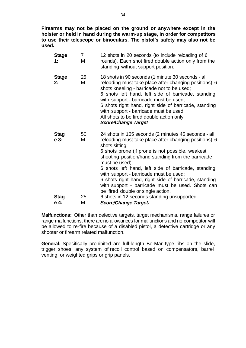**Firearms may not be placed on the ground or anywhere except in the holster or held in hand during the warm-up stage, in order for competitors to use their telescope or binoculars. The pistol's safety may also not be used.**

| <b>Stage</b><br>1:  | $\overline{7}$<br>Μ | 12 shots in 20 seconds (to include reloading of 6<br>rounds). Each shot fired double action only from the<br>standing without support position.                                                                                                                                                                                                                                                                                                                                                               |
|---------------------|---------------------|---------------------------------------------------------------------------------------------------------------------------------------------------------------------------------------------------------------------------------------------------------------------------------------------------------------------------------------------------------------------------------------------------------------------------------------------------------------------------------------------------------------|
| <b>Stage</b><br>2:  | 25<br>М             | 18 shots in 90 seconds (1 minute 30 seconds - all<br>reloading must take place after changing positions) 6<br>shots kneeling - barricade not to be used;<br>6 shots left hand, left side of barricade, standing<br>with support - barricade must be used;<br>6 shots right hand, right side of barricade, standing<br>with support - barricade must be used.<br>All shots to be fired double action only.<br><b>Score/Change Target</b>                                                                       |
| <b>Stag</b><br>e 3: | 50<br>М             | 24 shots in 165 seconds (2 minutes 45 seconds - all<br>reloading must take place after changing positions) 6<br>shots sitting;<br>6 shots prone (if prone is not possible, weakest<br>shooting position/hand standing from the barricade<br>must be used);<br>6 shots left hand, left side of barricade, standing<br>with support - barricade must be used;<br>6 shots right hand, right side of barricade, standing<br>with support - barricade must be used. Shots can<br>be fired double or single action. |
| <b>Stag</b><br>e 4: | 25<br>Μ             | 6 shots in 12 seconds standing unsupported.<br><b>Score/Change Target.</b>                                                                                                                                                                                                                                                                                                                                                                                                                                    |
|                     |                     |                                                                                                                                                                                                                                                                                                                                                                                                                                                                                                               |

**Malfunctions:** Other than defective targets, target mechanisms, range failures or range malfunctions, there areno allowances for malfunctions and no competitor will be allowed to re-fire because of a disabled pistol, a defective cartridge or any shooter or firearm related malfunction.

**General:** Specifically prohibited are full-length Bo-Mar type ribs on the slide, trigger shoes, any system of recoil control based on compensators, barrel venting, or weighted grips or grip panels.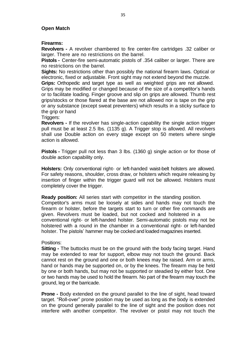# <span id="page-38-0"></span>**Open Match**

# **Firearms:**

**Revolvers -** A revolver chambered to fire center-fire cartridges .32 caliber or larger. There are no restrictions on the barrel.

**Pistols -** Center-fire semi-automatic pistols of .354 caliber or larger. There are no restrictions on the barrel.

**Sights:** No restrictions other than possibly the national firearm laws. Optical or electronic, fixed or adjustable. Front sight may not extend beyond the muzzle.

**Grips:** Orthopedic and target type as well as weighted grips are not allowed.

Grips may be modified or changed because of the size of a competitor's hands or to facilitate loading. Finger groove and slip on grips are allowed. Thumb rest grips/stocks or those flared at the base are not allowed nor is tape on the grip or any substance (except sweat preventers) which results in a sticky surface to the grip or hand

Triggers:

**Revolvers -** If the revolver has single-action capability the single action trigger pull must be at least 2.5 lbs. (1135 g). A Trigger stop is allowed. All revolvers shall use Double action on every stage except on 50 meters where single action is allowed.

**Pistols -** Trigger pull not less than 3 lbs. (1360 g) single action or for those of double action capability only.

**Holsters:** Only conventional right- or left-handed waist-belt holsters are allowed. For safety reasons, shoulder, cross draw, or holsters which require releasing by insertion of finger within the trigger guard will not be allowed. Holsters must completely cover the trigger.

**Ready position:** All series start with competitor in the standing position. Competitor's arms must be loosely at sides and hands may not touch the firearm or holster, before the targets start to turn or other fire commands are given. Revolvers must be loaded, but not cocked and holstered in a conventional right- or left-handed holster. Semi-automatic pistols may not be holstered with a round in the chamber in a conventional right- or left-handed holster. The pistols' hammer may be cocked and loaded magazines inserted.

### Positions:

**Sitting** - The buttocks must be on the ground with the body facing target. Hand may be extended to rear for support, elbow may not touch the ground. Back cannot rest on the ground and one or both knees may be raised. Arm or arms, hand or hands may be supported on, or by the knees. The firearm may be held by one or both hands, but may not be supported or steadied by either foot. One or two hands may be used to hold the firearm. No part of the firearm may touch the ground, leg or the barricade.

**Prone -** Body extended on the ground parallel to the line of sight, head toward target. "Roll-over" prone position may be used as long as the body is extended on the ground generally parallel to the line of sight and the position does not interfere with another competitor. The revolver or pistol may not touch the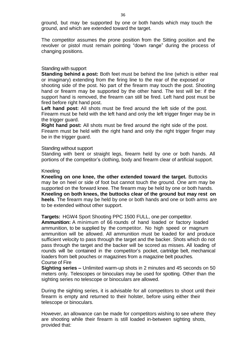ground, but may be supported by one or both hands which may touch the ground, and which are extended toward the target.

The competitor assumes the prone position from the Sitting position and the revolver or pistol must remain pointing "down range" during the process of changing positions.

#### Standing with support

**Standing behind a post:** Both feet must be behind the line (which is either real or imaginary) extending from the firing line to the rear of the exposed or shooting side of the post. No part of the firearm may touch the post. Shooting hand or firearm may be supported by the other hand. The test will be: if the support hand is removed, the firearm can still be fired. Left hand post must be fired before right hand post.

**Left hand post:** All shots must be fired around the left side of the post. Firearm must be held with the left hand and only the left trigger finger may be in the trigger guard.

**Right hand post:** All shots must be fired around the right side of the post. Firearm must be held with the right hand and only the right trigger finger may be in the trigger guard.

#### Standing without support

Standing with bent or straight legs, firearm held by one or both hands. All portions of the competitor's clothing, body and firearm clear of artificial support.

#### Kneeling

**Kneeling on one knee, the other extended toward the target.** Buttocks may be on heel or side of foot but cannot touch the ground. One arm may be supported on the forward knee. The firearm may be held by one or both hands. **Kneeling on both knees, the buttocks clear of the ground but may rest on heels**. The firearm may be held by one or both hands and one or both arms are to be extended without other support.

**Targets:** HGW4 Sport Shooting PPC 1500 FULL, one per competitor.

**Ammunition:** A minimum of 66 rounds of hand loaded or factory loaded ammunition, to be supplied by the competitor. No high speed or magnum ammunition will be allowed. All ammunition must be loaded for and produce sufficient velocity to pass through the target and the backer. Shots which do not pass through the target and the backer will be scored as misses. All loading of rounds will be contained in the competitor's pocket, cartridge belt, mechanical loaders from belt pouches or magazines from a magazine belt pouches. Course of Fire

**Sighting series –** Unlimited warm-up shots in 2 minutes and 45 seconds on 50 meters only. Telescopes or binoculars may be used for spotting. Other than the sighting series no telescope or binoculars are allowed.

During the sighting series, it is advisable for all competitors to shoot until their firearm is empty and returned to their holster, before using either their telescope or binoculars.

However, an allowance can be made for competitors wishing to see where they are shooting while their firearm is still loaded in-between sighting shots, provided that: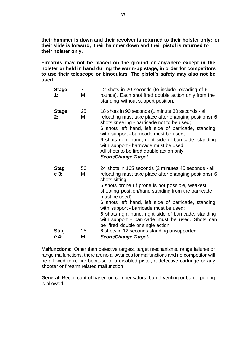**their hammer is down and their revolver is returned to their holster only; or their slide is forward, their hammer down and their pistol is returned to their holster only.**

**Firearms may not be placed on the ground or anywhere except in the holster or held in hand during the warm-up stage, in order for competitors to use their telescope or binoculars. The pistol's safety may also not be used.**

| <b>Stage</b><br>1:    | $\overline{7}$<br>M | 12 shots in 20 seconds (to include reloading of 6<br>rounds). Each shot fired double action only from the<br>standing without support position.                                                                                                                                                                                                                                                                                                                                                               |
|-----------------------|---------------------|---------------------------------------------------------------------------------------------------------------------------------------------------------------------------------------------------------------------------------------------------------------------------------------------------------------------------------------------------------------------------------------------------------------------------------------------------------------------------------------------------------------|
| <b>Stage</b><br>2:    | 25<br>M             | 18 shots in 90 seconds (1 minute 30 seconds - all<br>reloading must take place after changing positions) 6<br>shots kneeling - barricade not to be used;<br>6 shots left hand, left side of barricade, standing<br>with support - barricade must be used;<br>6 shots right hand, right side of barricade, standing<br>with support - barricade must be used.<br>All shots to be fired double action only.<br><b>Score/Change Target</b>                                                                       |
| <b>Stag</b><br>$e3$ : | 50<br>M             | 24 shots in 165 seconds (2 minutes 45 seconds - all<br>reloading must take place after changing positions) 6<br>shots sitting;<br>6 shots prone (if prone is not possible, weakest<br>shooting position/hand standing from the barricade<br>must be used);<br>6 shots left hand, left side of barricade, standing<br>with support - barricade must be used;<br>6 shots right hand, right side of barricade, standing<br>with support - barricade must be used. Shots can<br>be fired double or single action. |
| <b>Stag</b><br>e 4:   | 25<br>M             | 6 shots in 12 seconds standing unsupported.<br><b>Score/Change Target.</b>                                                                                                                                                                                                                                                                                                                                                                                                                                    |
|                       |                     |                                                                                                                                                                                                                                                                                                                                                                                                                                                                                                               |

**Malfunctions:** Other than defective targets, target mechanisms, range failures or range malfunctions, there areno allowances for malfunctions and no competitor will be allowed to re-fire because of a disabled pistol, a defective cartridge or any shooter or firearm related malfunction.

**General:** Recoil control based on compensators, barrel venting or barrel porting is allowed.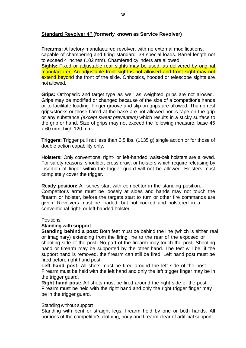# <span id="page-41-0"></span>**Standard Revolver 4" (formerly known as Service Revolver)**

**Firearms:** A factory manufactured revolver, with no external modifications, capable of chambering and firing standard .38 special loads. Barrel length not to exceed 4 inches (102 mm). Chamfered cylinders are allowed. **Sights:** Fixed or adjustable rear sights may be used, as delivered by original manufacturer. An adjustable front sight is not allowed and front sight may not extend beyond the front of the slide. Orthoptics, hooded or telescope sights are not allowed.

**Grips:** Orthopedic and target type as well as weighted grips are not allowed. Grips may be modified or changed because of the size of a competitor's hands or to facilitate loading. Finger groove and slip on grips are allowed. Thumb rest grips/stocks or those flared at the base are not allowed nor is tape on the grip or any substance *(except sweat preventers)* which results in a sticky surface to the grip or hand. Size of grips may not exceed the following measure: base 45 x 60 mm, high 120 mm.

**Triggers:** Trigger pull not less than 2.5 lbs. (1135 g) single action or for those of double action capability only.

**Holsters:** Only conventional right- or left-handed waist-belt holsters are allowed. For safety reasons, shoulder, cross draw, or holsters which require releasing by insertion of finger within the trigger guard will not be allowed. Holsters must completely cover the trigger.

**Ready position:** All series start with competitor in the standing position. Competitor's arms must be loosely at sides and hands may not touch the firearm or holster, before the targets start to turn or other fire commands are given. Revolvers must be loaded, but not cocked and holstered in a conventional right- or left-handed holster.

### Positions:

### **Standing with support**

**Standing behind a post:** Both feet must be behind the line (which is either real or imaginary) extending from the firing line to the rear of the exposed or shooting side of the post. No part of the firearm may touch the post. Shooting hand or firearm may be supported by the other hand. The test will be: if the support hand is removed, the firearm can still be fired. Left hand post must be fired before right hand post.

**Left hand post:** All shots must be fired around the left side of the post. Firearm must be held with the left hand and only the left trigger finger may be in the trigger guard.

**Right hand post:** All shots must be fired around the right side of the post. Firearm must be held with the right hand and only the right trigger finger may be in the trigger guard.

### Standing without support

Standing with bent or straight legs, firearm held by one or both hands. All portions of the competitor's clothing, body and firearm clear of artificial support.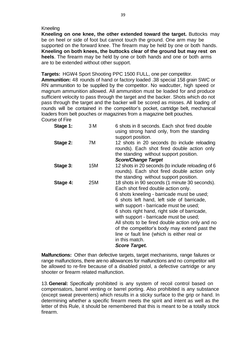# Kneeling

**Kneeling on one knee, the other extended toward the target.** Buttocks may be on heel or side of foot but cannot touch the ground. One arm may be supported on the forward knee. The firearm may be held by one or both hands. **Kneeling on both knees, the buttocks clear of the ground but may rest on heels**. The firearm may be held by one or both hands and one or both arms are to be extended without other support.

**Targets:** HGW4 Sport Shooting PPC 1500 FULL, one per competitor.

**Ammunition:** 48 rounds of hand or factory loaded .38 special 158 grain SWC or RN ammunition to be supplied by the competitor. No wadcutter, high speed or magnum ammunition allowed. All ammunition must be loaded for and produce sufficient velocity to pass through the target and the backer. Shots which do not pass through the target and the backer will be scored as misses. All loading of rounds will be contained in the competitor's pocket, cartridge belt, mechanical loaders from belt pouches or magazines from a magazine belt pouches.

### Course of Fire

| Stage 1: | 3 M | 6 shots in 8 seconds. Each shot fired double<br>using strong hand only, from the standing<br>support position.                                                                                                                                                                                                                                                                                                                                                                                                   |
|----------|-----|------------------------------------------------------------------------------------------------------------------------------------------------------------------------------------------------------------------------------------------------------------------------------------------------------------------------------------------------------------------------------------------------------------------------------------------------------------------------------------------------------------------|
| Stage 2: | 7M  | 12 shots in 20 seconds (to include reloading<br>rounds). Each shot fired double action only<br>the standing without support position.<br><b>Score/Change Target</b>                                                                                                                                                                                                                                                                                                                                              |
| Stage 3: | 15M | 12 shots in 20 seconds (to include reloading of 6<br>rounds). Each shot fired double action only<br>the standing without support position.                                                                                                                                                                                                                                                                                                                                                                       |
| Stage 4: | 25M | 18 shots in 90 seconds (1 minute 30 seconds).<br>Each shot fired double action only.<br>6 shots kneeling - barricade must be used;<br>6 shots left hand, left side of barricade,<br>with support - barricade must be used;<br>6 shots right hand, right side of barricade,<br>with support - barricade must be used;<br>All shots to be fired double action only and no<br>of the competitor's body may extend past the<br>line or fault line (which is either real or<br>in this match.<br><b>Score Target.</b> |

**Malfunctions:** Other than defective targets, target mechanisms, range failures or range malfunctions, there areno allowances for malfunctions and no competitor will be allowed to re-fire because of a disabled pistol, a defective cartridge or any shooter or firearm related malfunction.

13.**General:** Specifically prohibited is any system of recoil control based on compensators, barrel venting or barrel porting. Also prohibited is any substance (except sweat preventers) which results in a sticky surface to the grip or hand. In determining whether a specific firearm meets the spirit and intent as well as the letter of this Rule, it should be remembered that this is meant to be a totally stock firearm.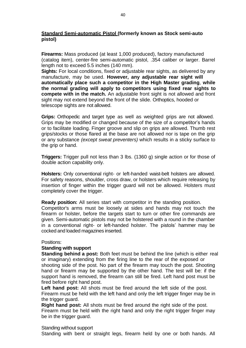# <span id="page-43-0"></span>**Standard Semi-automatic Pistol (formerly known as Stock semi-auto pistol)**

**Firearms:** Mass produced (at least 1,000 produced), factory manufactured (catalog item), center-fire semi-automatic pistol, .354 caliber or larger. Barrel length not to exceed 5.5 inches (140 mm).

**Sights:** For local conditions, fixed or adjustable rear sights, as delivered by any manufacture, may be used. **However, any adjustable rear sight will automatically place such a competitor in the High Master grading**, **while the normal grading will apply to competitors using fixed rear sights to compete with in the match.** An adjustable front sight is not allowed and front sight may not extend beyond the front of the slide. Orthoptics, hooded or telescope sights are not allowed.

**Grips:** Orthopedic and target type as well as weighted grips are not allowed. Grips may be modified or changed because of the size of a competitor's hands or to facilitate loading. Finger groove and slip on grips are allowed. Thumb rest grips/stocks or those flared at the base are not allowed nor is tape on the grip or any substance *(except sweat preventers)* which results in a sticky surface to the grip or hand.

**Triggers:** Trigger pull not less than 3 lbs. (1360 g) single action or for those of double action capability only.

**Holsters:** Only conventional right- or left-handed waist-belt holsters are allowed. For safety reasons, shoulder, cross draw, or holsters which require releasing by insertion of finger within the trigger guard will not be allowed. Holsters must completely cover the trigger.

**Ready position:** All series start with competitor in the standing position. Competitor's arms must be loosely at sides and hands may not touch the firearm or holster, before the targets start to turn or other fire commands are given. Semi-automatic pistols may not be holstered with a round in the chamber in a conventional right- or left-handed holster. The pistols' hammer may be cocked and loaded magazines inserted.

### Positions:

# **Standing with support**

**Standing behind a post:** Both feet must be behind the line (which is either real or imaginary) extending from the firing line to the rear of the exposed or shooting side of the post. No part of the firearm may touch the post. Shooting hand or firearm may be supported by the other hand. The test will be: if the support hand is removed, the firearm can still be fired. Left hand post must be fired before right hand post.

**Left hand post:** All shots must be fired around the left side of the post. Firearm must be held with the left hand and only the left trigger finger may be in the trigger guard.

**Right hand post:** All shots must be fired around the right side of the post. Firearm must be held with the right hand and only the right trigger finger may be in the trigger guard.

# Standing without support

Standing with bent or straight legs, firearm held by one or both hands. All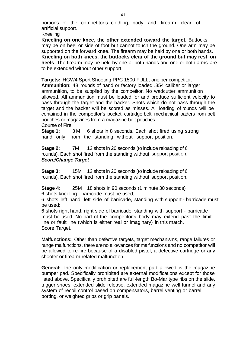portions of the competitor's clothing, body and firearm clear of artificial support.

Kneeling

**Kneeling on one knee, the other extended toward the target.** Buttocks may be on heel or side of foot but cannot touch the ground. One arm may be supported on the forward knee. The firearm may be held by one or both hands. **Kneeling on both knees, the buttocks clear of the ground but may rest on heels**. The firearm may be held by one or both hands and one or both arms are to be extended without other support.

**Targets:** HGW4 Sport Shooting PPC 1500 FULL, one per competitor. **Ammunition:** 48 rounds of hand or factory loaded .354 caliber or larger ammunition, to be supplied by the competitor. No wadcutter ammunition allowed. All ammunition must be loaded for and produce sufficient velocity to pass through the target and the backer. Shots which do not pass through the target and the backer will be scored as misses. All loading of rounds will be contained in the competitor's pocket, cartridge belt, mechanical loaders from belt pouches or magazines from a magazine belt pouches.

Course of Fire

**Stage 1:** 3 M 6 shots in 8 seconds. Each shot fired using strong hand only, from the standing without support position.

**Stage 2:** 7M 12 shots in 20 seconds (to include reloading of 6 rounds). Each shot fired from the standing without support position. *Score/Change Target*

**Stage 3:** 15M 12 shots in 20 seconds (to include reloading of 6 rounds). Each shot fired from the standing without support position.

**Stage 4:** 25M 18 shots in 90 seconds (1 minute 30 seconds) 6 shots kneeling - barricade must be used;

6 shots left hand, left side of barricade, standing with support - barricade must be used;

6 shots right hand, right side of barricade, standing with support - barricade must be used. No part of the competitor's body may extend past the limit line or fault line (which is either real or imaginary) in this match. Score Target.

**Malfunctions:** Other than defective targets, target mechanisms, range failures or range malfunctions, there areno allowances for malfunctions and no competitor will be allowed to re-fire because of a disabled pistol, a defective cartridge or any shooter or firearm related malfunction.

**General:** The only modification or replacement part allowed is the magazine bumper pad. Specifically prohibited are external modifications except for those listed above. Specifically prohibited are full-length Bo-Mar type ribs on the slide, trigger shoes, extended slide release, extended magazine well funnel and any system of recoil control based on compensators, barrel venting or barrel porting, or weighted grips or grip panels.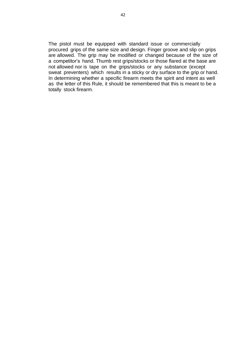The pistol must be equipped with standard issue or commercially procured grips of the same size and design. Finger groove and slip on grips are allowed. The grip may be modified or changed because of the size of a competitor's hand. Thumb rest grips/stocks or those flared at the base are not allowed nor is tape on the grips/stocks or any substance (except sweat preventers) which results in a sticky or dry surface to the grip or hand. In determining whether a specific firearm meets the spirit and intent as well as the letter of this Rule, it should be remembered that this is meant to be a totally stock firearm.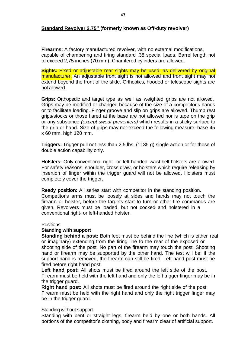# <span id="page-46-0"></span>**Standard Revolver 2.75" (formerly known as Off-duty revolver)**

**Firearms:** A factory manufactured revolver, with no external modifications, capable of chambering and firing standard .38 special loads. Barrel length not to exceed 2,75 inches (70 mm). Chamfered cylinders are allowed.

**Sights:** Fixed or adjustable rear sights may be used, as delivered by original manufacturer. An adjustable front sight is not allowed and front sight may not extend beyond the front of the slide. Orthoptics, hooded or telescope sights are not allowed.

**Grips:** Orthopedic and target type as well as weighted grips are not allowed. Grips may be modified or changed because of the size of a competitor's hands or to facilitate loading. Finger groove and slip on grips are allowed. Thumb rest grips/stocks or those flared at the base are not allowed nor is tape on the grip or any substance *(except sweat preventers)* which results in a sticky surface to the grip or hand. Size of grips may not exceed the following measure: base 45 x 60 mm, high 120 mm.

**Triggers:** Trigger pull not less than 2.5 lbs. (1135 g) single action or for those of double action capability only.

**Holsters:** Only conventional right- or left-handed waist-belt holsters are allowed. For safety reasons, shoulder, cross draw, or holsters which require releasing by insertion of finger within the trigger guard will not be allowed. Holsters must completely cover the trigger.

**Ready position:** All series start with competitor in the standing position. Competitor's arms must be loosely at sides and hands may not touch the firearm or holster, before the targets start to turn or other fire commands are given. Revolvers must be loaded, but not cocked and holstered in a conventional right- or left-handed holster.

#### Positions:

#### **Standing with support**

**Standing behind a post:** Both feet must be behind the line (which is either real or imaginary) extending from the firing line to the rear of the exposed or shooting side of the post. No part of the firearm may touch the post. Shooting hand or firearm may be supported by the other hand. The test will be: if the support hand is removed, the firearm can still be fired. Left hand post must be fired before right hand post.

**Left hand post:** All shots must be fired around the left side of the post. Firearm must be held with the left hand and only the left trigger finger may be in the trigger guard.

**Right hand post:** All shots must be fired around the right side of the post. Firearm must be held with the right hand and only the right trigger finger may be in the trigger guard.

#### Standing without support

Standing with bent or straight legs, firearm held by one or both hands. All portions of the competitor's clothing, body and firearm clear of artificial support.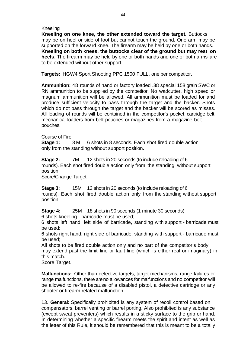# Kneeling

**Kneeling on one knee, the other extended toward the target.** Buttocks may be on heel or side of foot but cannot touch the ground. One arm may be supported on the forward knee. The firearm may be held by one or both hands. **Kneeling on both knees, the buttocks clear of the ground but may rest on heels**. The firearm may be held by one or both hands and one or both arms are to be extended without other support.

**Targets:** HGW4 Sport Shooting PPC 1500 FULL, one per competitor.

**Ammunition:** 48 rounds of hand or factory loaded .38 special 158 grain SWC or RN ammunition to be supplied by the competitor. No wadcutter, high speed or magnum ammunition will be allowed. All ammunition must be loaded for and produce sufficient velocity to pass through the target and the backer. Shots which do not pass through the target and the backer will be scored as misses. All loading of rounds will be contained in the competitor's pocket, cartridge belt, mechanical loaders from belt pouches or magazines from a magazine belt pouches.

# Course of Fire

**Stage 1:** 3 M 6 shots in 8 seconds. Each shot fired double action only from the standing without support position.

**Stage 2:** 7M 12 shots in 20 seconds (to include reloading of 6 rounds). Each shot fired double action only from the standing without support position.

Score/Change Target

**Stage 3:** 15M 12 shots in 20 seconds (to include reloading of 6 rounds). Each shot fired double action only from the standing without support position.

**Stage 4:** 25M 18 shots in 90 seconds (1 minute 30 seconds) 6 shots kneeling - barricade must be used;

6 shots left hand, left side of barricade, standing with support - barricade must be used;

6 shots right hand, right side of barricade, standing with support - barricade must be used;

All shots to be fired double action only and no part of the competitor's body may extend past the limit line or fault line (which is either real or imaginary) in this match.

Score Target.

**Malfunctions:** Other than defective targets, target mechanisms, range failures or range malfunctions, there areno allowances for malfunctions and no competitor will be allowed to re-fire because of a disabled pistol, a defective cartridge or any shooter or firearm related malfunction.

13. **General:** Specifically prohibited is any system of recoil control based on compensators, barrel venting or barrel porting. Also prohibited is any substance (except sweat preventers) which results in a sticky surface to the grip or hand. In determining whether a specific firearm meets the spirit and intent as well as the letter of this Rule, it should be remembered that this is meant to be a totally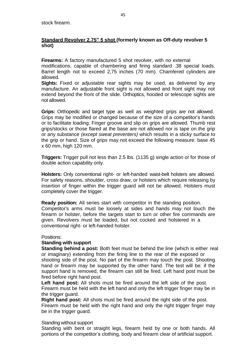# <span id="page-48-0"></span>**Standard Revolver 2.75" 5 shot (formerly known as Off-duty revolver 5 shot)**

**Firearms:** A factory manufactured 5 shot revolver, with no external modifications, capable of chambering and firing standard .38 special loads. Barrel length not to exceed 2,75 inches (70 mm). Chamfered cylinders are allowed.

**Sights:** Fixed or adjustable rear sights may be used, as delivered by any manufacture. An adjustable front sight is not allowed and front sight may not extend beyond the front of the slide. Orthoptics, hooded or telescope sights are not allowed.

**Grips:** Orthopedic and target type as well as weighted grips are not allowed. Grips may be modified or changed because of the size of a competitor's hands or to facilitate loading. Finger groove and slip on grips are allowed. Thumb rest grips/stocks or those flared at the base are not allowed nor is tape on the grip or any substance *(except sweat preventers)* which results in a sticky surface to the grip or hand. Size of grips may not exceed the following measure: base 45 x 60 mm, high 120 mm.

**Triggers:** Trigger pull not less than 2.5 lbs. (1135 g) single action or for those of double action capability only.

**Holsters:** Only conventional right- or left-handed waist-belt holsters are allowed. For safety reasons, shoulder, cross draw, or holsters which require releasing by insertion of finger within the trigger guard will not be allowed. Holsters must completely cover the trigger.

**Ready position:** All series start with competitor in the standing position. Competitor's arms must be loosely at sides and hands may not touch the firearm or holster, before the targets start to turn or other fire commands are given. Revolvers must be loaded, but not cocked and holstered in a conventional right- or left-handed holster.

# Positions:

# **Standing with support**

**Standing behind a post:** Both feet must be behind the line (which is either real or imaginary) extending from the firing line to the rear of the exposed or shooting side of the post. No part of the firearm may touch the post. Shooting hand or firearm may be supported by the other hand. The test will be: if the support hand is removed, the firearm can still be fired. Left hand post must be fired before right hand post.

**Left hand post:** All shots must be fired around the left side of the post. Firearm must be held with the left hand and only the left trigger finger may be in the trigger guard.

**Right hand post:** All shots must be fired around the right side of the post. Firearm must be held with the right hand and only the right trigger finger may be in the trigger guard.

### Standing without support

Standing with bent or straight legs, firearm held by one or both hands. All portions of the competitor's clothing, body and firearm clear of artificial support.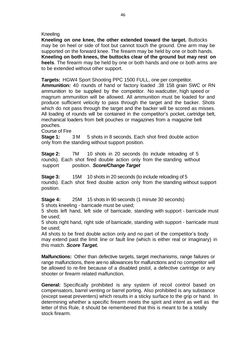### Kneeling

**Kneeling on one knee, the other extended toward the target.** Buttocks may be on heel or side of foot but cannot touch the ground. One arm may be supported on the forward knee. The firearm may be held by one or both hands. **Kneeling on both knees, the buttocks clear of the ground but may rest on heels**. The firearm may be held by one or both hands and one or both arms are to be extended without other support.

**Targets:** HGW4 Sport Shooting PPC 1500 FULL, one per competitor.

**Ammunition:** 40 rounds of hand or factory loaded .38 158 grain SWC or RN ammunition to be supplied by the competitor. No wadcutter, high speed or magnum ammunition will be allowed. All ammunition must be loaded for and produce sufficient velocity to pass through the target and the backer. Shots which do not pass through the target and the backer will be scored as misses. All loading of rounds will be contained in the competitor's pocket, cartridge belt, mechanical loaders from belt pouches or magazines from a magazine belt pouches.

Course of Fire

**Stage 1:** 3 M 5 shots in 8 seconds. Each shot fired double action only from the standing without support position.

**Stage 2:** 7M 10 shots in 20 seconds (to include reloading of 5 rounds). Each shot fired double action only from the standing without support position. *Score/Change Target*

**Stage 3:** 15M 10 shots in 20 seconds (to include reloading of 5 rounds). Each shot fired double action only from the standing without support position.

**Stage 4:** 25M 15 shots in 90 seconds (1 minute 30 seconds)

5 shots kneeling - barricade must be used;

5 shots left hand, left side of barricade, standing with support - barricade must be used;

5 shots right hand, right side of barricade, standing with support - barricade must be used;

All shots to be fired double action only and no part of the competitor's body may extend past the limit line or fault line (which is either real or imaginary) in this match. *Score Target.*

**Malfunctions:** Other than defective targets, target mechanisms, range failures or range malfunctions, there areno allowances for malfunctions and no competitor will be allowed to re-fire because of a disabled pistol, a defective cartridge or any shooter or firearm related malfunction.

**General:** Specifically prohibited is any system of recoil control based on compensators, barrel venting or barrel porting. Also prohibited is any substance (except sweat preventers) which results in a sticky surface to the grip or hand. In determining whether a specific firearm meets the spirit and intent as well as the letter of this Rule, it should be remembered that this is meant to be a totally stock firearm.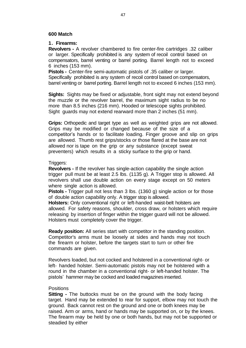#### <span id="page-50-0"></span>**600 Match**

### **1. Firearms:**

**Revolvers -** A revolver chambered to fire center-fire cartridges .32 caliber or larger. Specifically prohibited is any system of recoil control based on compensators, barrel venting or barrel porting. Barrel length not to exceed 6 inches (153 mm).

**Pistols -** Center-fire semi-automatic pistols of .35 caliber or larger. Specifically prohibited is any system of recoil control based on compensators, barrel venting or barrel porting. Barrel length not to exceed 6 inches (153 mm).

**Sights:** Sights may be fixed or adjustable, front sight may not extend beyond the muzzle or the revolver barrel, the maximum sight radius to be no more than 8.5 inches (216 mm). Hooded or telescope sights prohibited. Sight guards may not extend rearward more than 2 inches (51 mm).

**Grips:** Orthopedic and target type as well as weighted grips are not allowed. Grips may be modified or changed because of the size of a competitor's hands or to facilitate loading. Finger groove and slip on grips are allowed. Thumb rest grips/stocks or those flared at the base are not allowed nor is tape on the grip or any substance (except sweat preventers) which results in a sticky surface to the grip or hand.

#### Triggers:

**Revolvers -** If the revolver has single-action capability the single action trigger pull must be at least 2.5 lbs. (1135 g). A Trigger stop is allowed. All revolvers shall use double action on every stage except on 50 meters where single action is allowed.

**Pistols -** Trigger pull not less than 3 lbs. (1360 g) single action or for those of double action capability only. A trigger stop is allowed.

**Holsters:** Only conventional right or left-handed waist-belt holsters are allowed. For safety reasons, shoulder, cross draw, or holsters which require releasing by insertion of finger within the trigger guard will not be allowed. Holsters must completely cover the trigger.

**Ready position:** All series start with competitor in the standing position. Competitor's arms must be loosely at sides and hands may not touch the firearm or holster, before the targets start to turn or other fire commands are given.

Revolvers loaded, but not cocked and holstered in a conventional right- or left- handed holster. Semi-automatic pistols may not be holstered with a round in the chamber in a conventional right- or left-handed holster. The pistols' hammer may be cocked and loaded magazines inserted.

#### **Positions**

**Sitting** - The buttocks must be on the ground with the body facing target. Hand may be extended to rear for support, elbow may not touch the ground. Back cannot rest on the ground and one or both knees may be raised. Arm or arms, hand or hands may be supported on, or by the knees. The firearm may be held by one or both hands, but may not be supported or steadied by either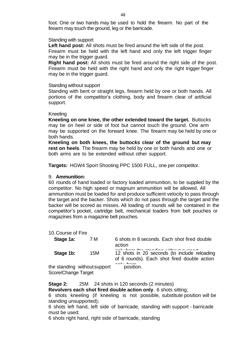foot. One or two hands may be used to hold the firearm. No part of the firearm may touch the ground, leg or the barricade.

#### Standing with support

**Left hand post:** All shots must be fired around the left side of the post. Firearm must be held with the left hand and only the left trigger finger may be in the trigger guard.

**Right hand post:** All shots must be fired around the right side of the post. Firearm must be held with the right hand and only the right trigger finger may be in the trigger guard.

### Standing without support

Standing with bent or straight legs, firearm held by one or both hands. All portions of the competitor's clothing, body and firearm clear of artificial support.

#### Kneeling

**Kneeling on one knee, the other extended toward the target.** Buttocks may be on heel or side of foot but cannot touch the ground. One arm may be supported on the forward knee. The firearm may be held by one or both hands.

**Kneeling on both knees, the buttocks clear of the ground but may rest on heels**. The firearm may be held by one or both hands and one or both arms are to be extended without other support.

**Targets:** HGW4 Sport Shooting PPC 1500 FULL, one per competitor.

### 9. **Ammunition:**

60 rounds of hand loaded or factory loaded ammunition, to be supplied by the competitor. No high speed or magnum ammunition will be allowed. All ammunition must be loaded for and produce sufficient velocity to pass through the target and the backer. Shots which do not pass through the target and the backer will be scored as misses. All loading of rounds will be contained in the competitor's pocket, cartridge belt, mechanical loaders from belt pouches or magazines from a magazine belt pouches.

| 10. Course of Fire |  |
|--------------------|--|
|--------------------|--|

| Stage 1a:                                           | 7 M | 6 shots in 8 seconds. Each shot fired double<br>action                                                                                |
|-----------------------------------------------------|-----|---------------------------------------------------------------------------------------------------------------------------------------|
| Stage 1b:                                           | 15M | only from the stonding without oursest<br>12 shots in 20 seconds (to include reloading<br>of 6 rounds). Each shot fired double action |
| the standing without support<br>Score/Change Target |     | الممرحات المراجر<br>position.                                                                                                         |

**Stage 2:** 25M 24 shots in 120 seconds (2 minutes)

**Revolvers each shot fired double action only**. 6 shots sitting;

6 shots kneeling (if kneeling is not possible, substitute position will be standing unsupported);

6 shots left hand, left side of barricade, standing with support - barricade must be used;

6 shots right hand, right side of barricade, standing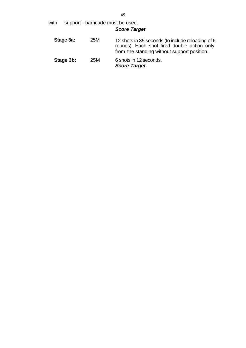49

with support - barricade must be used.

# *Score Target*

| Stage 3a: | 25M | 12 shots in 35 seconds (to include reloading of 6<br>rounds). Each shot fired double action only<br>from the standing without support position. |
|-----------|-----|-------------------------------------------------------------------------------------------------------------------------------------------------|
| Stage 3b: | 25M | 6 shots in 12 seconds.<br><b>Score Target.</b>                                                                                                  |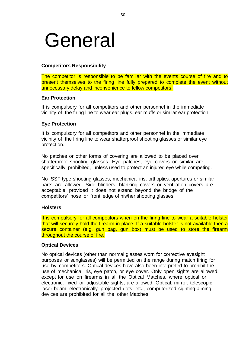# <span id="page-53-0"></span>General

# <span id="page-53-1"></span>**Competitors Responsibility**

The competitor is responsible to be familiar with the events course of fire and to present themselves to the firing line fully prepared to complete the event without unnecessary delay and inconvenience to fellow competitors.

### <span id="page-53-2"></span>**Ear Protection**

It is compulsory for all competitors and other personnel in the immediate vicinity of the firing line to wear ear plugs, ear muffs or similar ear protection.

# <span id="page-53-3"></span>**Eye Protection**

It is compulsory for all competitors and other personnel in the immediate vicinity of the firing line to wear shatterproof shooting glasses or similar eye protection.

No patches or other forms of covering are allowed to be placed over shatterproof shooting glasses. Eye patches, eye covers or similar are specifically prohibited, unless used to protect an injured eye while competing.

No ISSF type shooting glasses, mechanical iris, orthoptics, apertures or similar parts are allowed. Side blinders, blanking covers or ventilation covers are acceptable, provided it does not extend beyond the bridge of the competitors' nose or front edge of his/her shooting glasses.

### <span id="page-53-4"></span>**Holsters**

It is compulsory for all competitors when on the firing line to wear a suitable holster that will securely hold the firearm in place. If a suitable holster is not available then a secure container (e.g. gun bag, gun box) must be used to store the firearm throughout the course of fire.

### <span id="page-53-5"></span>**Optical Devices**

No optical devices (other than normal glasses worn for corrective eyesight purposes or sunglasses) will be permitted on the range during match firing for use by competitors. Optical devices have also been interpreted to prohibit the use of mechanical iris, eye patch, or eye cover. Only open sights are allowed, except for use on firearms in all the Optical Matches, where optical or electronic, fixed or adjustable sights, are allowed. Optical, mirror, telescopic, laser beam, electronically projected dots, etc., computerized sighting-aiming devices are prohibited for all the other Matches.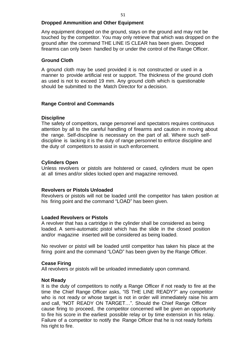# <span id="page-54-0"></span>**Dropped Ammunition and Other Equipment**

Any equipment dropped on the ground, stays on the ground and may not be touched by the competitor. You may only retrieve that which was dropped on the ground after the command THE LINE IS CLEAR has been given. Dropped firearms can only been handled by or under the control of the Range Officer.

# <span id="page-54-1"></span>**Ground Cloth**

A ground cloth may be used provided it is not constructed or used in a manner to provide artificial rest or support. The thickness of the ground cloth as used is not to exceed 19 mm. Any ground cloth which is questionable should be submitted to the Match Director for a decision.

# <span id="page-54-2"></span>**Range Control and Commands**

### <span id="page-54-3"></span>**Discipline**

The safety of competitors, range personnel and spectators requires continuous attention by all to the careful handling of firearms and caution in moving about the range. Self-discipline is necessary on the part of all. Where such selfdiscipline is lacking it is the duty of range personnel to enforce discipline and the duty of competitors to assist in such enforcement.

# <span id="page-54-4"></span>**Cylinders Open**

Unless revolvers or pistols are holstered or cased, cylinders must be open at all times and/or slides locked open and magazine removed.

### <span id="page-54-5"></span>**Revolvers or Pistols Unloaded**

Revolvers or pistols will not be loaded until the competitor has taken position at his firing point and the command "LOAD" has been given.

### <span id="page-54-6"></span>**Loaded Revolvers or Pistols**

A revolver that has a cartridge in the cylinder shall be considered as being loaded. A semi-automatic pistol which has the slide in the closed position and/or magazine inserted will be considered as being loaded.

No revolver or pistol will be loaded until competitor has taken his place at the firing point and the command "LOAD" has been given by the Range Officer.

### <span id="page-54-7"></span>**Cease Firing**

All revolvers or pistols will be unloaded immediately upon command.

### <span id="page-54-8"></span>**Not Ready**

It is the duty of competitors to notify a Range Officer if not ready to fire at the time the Chief Range Officer asks, "IS THE LINE READY?" any competitor who is not ready or whose target is not in order will immediately raise his arm and call, "NOT READY ON TARGET…". Should the Chief Range Officer cause firing to proceed, the competitor concerned will be given an opportunity to fire his score in the earliest possible relay or by time extension in his relay. Failure of a competitor to notify the Range Officer that he is not ready forfeits his right to fire.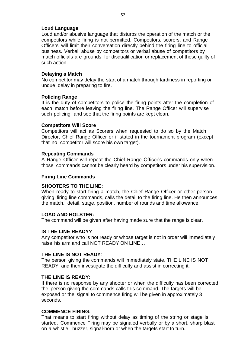# <span id="page-55-0"></span>**Loud Language**

Loud and/or abusive language that disturbs the operation of the match or the competitors while firing is not permitted. Competitors, scorers, and Range Officers will limit their conversation directly behind the firing line to official business. Verbal abuse by competitors or verbal abuse of competitors by match officials are grounds for disqualification or replacement of those guilty of such action.

# <span id="page-55-1"></span>**Delaying a Match**

No competitor may delay the start of a match through tardiness in reporting or undue delay in preparing to fire.

# <span id="page-55-2"></span>**Policing Range**

It is the duty of competitors to police the firing points after the completion of each match before leaving the firing line. The Range Officer will supervise such policing and see that the firing points are kept clean.

### <span id="page-55-3"></span>**Competitors Will Score**

Competitors will act as Scorers when requested to do so by the Match Director, Chief Range Officer or if stated in the tournament program (except that no competitor will score his own target).

# <span id="page-55-4"></span>**Repeating Commands**

A Range Officer will repeat the Chief Range Officer's commands only when those commands cannot be clearly heard by competitors under his supervision.

# <span id="page-55-5"></span>**Firing Line Commands**

# **SHOOTERS TO THE LINE:**

When ready to start firing a match, the Chief Range Officer or other person giving firing line commands, calls the detail to the firing line. He then announces the match, detail, stage, position, number of rounds and time allowance.

### **LOAD AND HOLSTER:**

The command will be given after having made sure that the range is clear.

### **IS THE LINE READY?**

Any competitor who is not ready or whose target is not in order will immediately raise his arm and call NOT READY ON LINE…

### **THE LINE IS NOT READY**:

The person giving the commands will immediately state, THE LINE IS NOT READY and then investigate the difficulty and assist in correcting it.

# **THE LINE IS READY:**

If there is no response by any shooter or when the difficulty has been corrected the person giving the commands calls this command. The targets will be exposed or the signal to commence firing will be given in approximately 3 seconds.

### **COMMENCE FIRING:**

That means to start firing without delay as timing of the string or stage is started. Commence Firing may be signaled verbally or by a short, sharp blast on a whistle, buzzer, signal-horn or when the targets start to turn.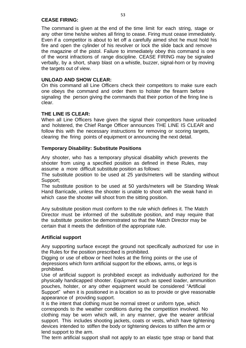# **CEASE FIRING:**

The command is given at the end of the time limit for each string, stage or any other time he/she wishes all firing to cease. Firing must cease immediately. Even if a competitor is about to let off a carefully aimed shot he must hold his fire and open the cylinder of his revolver or lock the slide back and remove the magazine of the pistol. Failure to immediately obey this command is one of the worst infractions of range discipline. CEASE FIRING may be signaled verbally, by a short, sharp blast on a whistle, buzzer, signal-horn or by moving the targets out of view.

# **UNLOAD AND SHOW CLEAR:**

On this command all Line Officers check their competitors to make sure each one obeys the command and order them to holster the firearm before signaling the person giving the commands that their portion of the firing line is clear.

# **THE LINE IS CLEAR:**

When all Line Officers have given the signal their competitors have unloaded and holstered, the Chief Range Officer announces THE LINE IS CLEAR and follow this with the necessary instructions for removing or scoring targets, clearing the firing points of equipment or announcing the next detail.

# <span id="page-56-0"></span>**Temporary Disability: Substitute Positions**

Any shooter, who has a temporary physical disability which prevents the shooter from using a specified position as defined in these Rules, may assume a more difficult substitute position as follows:

The substitute position to be used at 25 yards/meters will be standing without Support;

The substitute position to be used at 50 yards/meters will be Standing Weak Hand Barricade, unless the shooter is unable to shoot with the weak hand in which case the shooter will shoot from the sitting position.

Any substitute position must conform to the rule which defines it. The Match Director must be informed of the substitute position, and may require that the substitute position be demonstrated so that the Match Director may be certain that it meets the definition of the appropriate rule.

### <span id="page-56-1"></span>**Artificial support**

Any supporting surface except the ground not specifically authorized for use in the Rules for the position prescribed is prohibited.

Digging or use of elbow or heel holes at the firing points or the use of depressions which form artificial support for the elbows, arms, or legs is prohibited.

Use of artificial support is prohibited except as individually authorized for the physically handicapped shooter. Equipment such as speed loader, ammunition pouches, holster, or any other equipment would be considered "Artificial Support" when it is positioned in a location so as to provide or give reasonable appearance of providing support.

It is the intent that clothing must be normal street or uniform type, which corresponds to the weather conditions during the competition involved. No clothing may be worn which will, in any manner, give the wearer artificial support. This includes shooting jackets, coats or vests, which have tightening devices intended to stiffen the body or tightening devices to stiffen the arm or lend support to the arm.

The term artificial support shall not apply to an elastic type strap or band that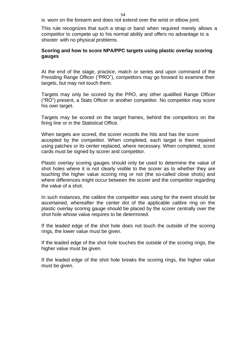54

is worn on the forearm and does not extend over the wrist or elbow joint.

This rule recognizes that such a strap or band when required merely allows a competitor to compete up to his normal ability and offers no advantage to a shooter with no physical problems.

# <span id="page-57-0"></span>**Scoring and how to score NPA/PPC targets using plastic overlay scoring gauges**

At the end of the stage, practice, match or series and upon command of the Presiding Range Officer ("PRO"), competitors may go forward to examine their targets, but may not touch them.

Targets may only be scored by the PRO, any other qualified Range Officer ("RO") present, a Stats Officer or another competitor. No competitor may score his own target.

Targets may be scored on the target frames, behind the competitors on the firing line or in the Statistical Office.

When targets are scored, the scorer records the hits and has the score accepted by the competitor. When completed, each target is then repaired using patches or its center replaced, where necessary. When completed, score cards must be signed by scorer and competitor.

Plastic overlay scoring gauges should only be used to determine the value of shot holes where it is not clearly visible to the scorer as to whether they are touching the higher value scoring ring or not (the so-called close shots) and where differences might occur between the scorer and the competitor regarding the value of a shot.

In such instances, the calibre the competitor was using for the event should be ascertained, whereafter the center dot of the applicable calibre ring on the plastic overlay scoring gauge should be placed by the scorer centrally over the shot hole whose value requires to be determined.

If the leaded edge of the shot hole does not touch the outside of the scoring rings, the lower value must be given.

If the leaded edge of the shot hole touches the outside of the scoring rings, the higher value must be given.

If the leaded edge of the shot hole breaks the scoring rings, the higher value must be given.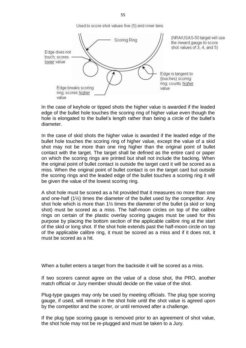Used to score shot values five (5) and inner tens



In the case of keyhole or tipped shots the higher value is awarded if the leaded edge of the bullet hole touches the scoring ring of higher value even though the hole is elongated to the bullet's length rather than being a circle of the bullet's diameter.

In the case of skid shots the higher value is awarded if the leaded edge of the bullet hole touches the scoring ring of higher value, except the value of a skid shot may not be more than one ring higher than the original point of bullet contact with the target. The target shall be defined as the entire card or paper on which the scoring rings are printed but shall not include the backing. When the original point of bullet contact is outside the target card it will be scored as a miss. When the original point of bullet contact is on the target card but outside the scoring rings and the leaded edge of the bullet touches a scoring ring it will be given the value of the lowest scoring ring.

A shot hole must be scored as a hit provided that it measures no more than one and one-half  $(1\frac{1}{2})$  times the diameter of the bullet used by the competitor. Any shot hole which is more than 1½ times the diameter of the bullet (a skid or long shot) must be scored as a miss. The half-moon circles on top of the calibre rings on certain of the plastic overlay scoring gauges must be used for this purpose by placing the bottom section of the applicable calibre ring at the start of the skid or long shot. If the shot hole extends past the half-moon circle on top of the applicable calibre ring, it must be scored as a miss and if it does not, it must be scored as a hit.

When a bullet enters a target from the backside it will be scored as a miss.

If two scorers cannot agree on the value of a close shot, the PRO, another match official or Jury member should decide on the value of the shot.

Plug-type gauges may only be used by meeting officials. The plug type scoring gauge, if used, will remain in the shot hole until the shot value is agreed upon by the competitor and the scorer, or until removed after a challenge.

If the plug type scoring gauge is removed prior to an agreement of shot value, the shot hole may not be re-plugged and must be taken to a Jury.

55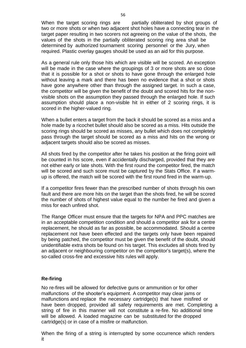When the target scoring rings are partially obliterated by shot groups of two or more shots or when two adjacent shot holes have a connecting tear in the target paper resulting in two scorers not agreeing on the value of the shots, the values of the shots in the partially obliterated scoring ring area shall be determined by authorized tournament scoring personnel or the Jury, when required. Plastic overlay gauges should be used as an aid for this purpose.

As a general rule only those hits which are visible will be scored. An exception will be made in the case where the groupings of 3 or more shots are so close that it is possible for a shot or shots to have gone through the enlarged hole without leaving a mark and there has been no evidence that a shot or shots have gone anywhere other than through the assigned target. In such a case, the competitor will be given the benefit of the doubt and scored hits for the nonvisible shots on the assumption they passed through the enlarged hole. If such assumption should place a non-visible hit in either of 2 scoring rings, it is scored in the higher-valued ring.

When a bullet enters a target from the back it should be scored as a miss and a hole made by a ricochet bullet should also be scored as a miss. Hits outside the scoring rings should be scored as misses, any bullet which does not completely pass through the target should be scored as a miss and hits on the wrong or adjacent targets should also be scored as misses.

All shots fired by the competitor after he takes his position at the firing point will be counted in his score, even if accidentally discharged, provided that they are not either early or late shots. With the first round the competitor fired, the match will be scored and such score must be captured by the Stats Office. If a warmup is offered, the match will be scored with the first round fired in the warm-up.

If a competitor fires fewer than the prescribed number of shots through his own fault and there are more hits on the target than the shots fired, he will be scored the number of shots of highest value equal to the number he fired and given a miss for each unfired shot.

The Range Officer must ensure that the targets for NPA and PPC matches are in an acceptable competition condition and should a competitor ask for a centre replacement, he should as far as possible, be accommodated. Should a centre replacement not have been effected and the targets only have been repaired by being patched, the competitor must be given the benefit of the doubt, should unidentifiable extra shots be found on his target. This excludes all shots fired by an adjacent or neighbouring competitor on the competitor's target(s), where the so-called cross-fire and excessive hits rules will apply.

# <span id="page-59-0"></span>**Re-firing**

No re-fires will be allowed for defective guns or ammunition or for other malfunctions of the shooter's equipment. A competitor may clear jams or malfunctions and replace the necessary cartridge(s) that have misfired or have been dropped, provided all safety requirements are met. Completing a string of fire in this manner will not constitute a re-fire. No additional time will be allowed. A loaded magazine can be substituted for the dropped cartridge(s) or in case of a misfire or malfunction.

When the firing of a string is interrupted by some occurrence which renders it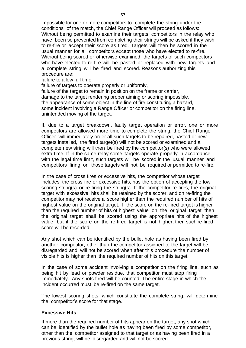impossible for one or more competitors to complete the string under the conditions of the match, the Chief Range Officer will proceed as follows: Without being permitted to examine their targets, competitors in the relay who have been so prevented from completing their strings will be asked if they wish to re-fire or accept their score as fired. Targets will then be scored in the usual manner for all competitors except those who have elected to re-fire. Without being scored or otherwise examined, the targets of such competitors who have elected to re-fire will be pasted or replaced with new targets and a complete string will be fired and scored. Reasons authorizing this procedure are:

failure to allow full time,

failure of targets to operate properly or uniformly,

failure of the target to remain in position on the frame or carrier, damage to the target rendering proper aiming or scoring impossible, the appearance of some object in the line of fire constituting a hazard, some incident involving a Range Officer or competitor on the firing line, unintended moving of the target.

If, due to a target breakdown, faulty target operation or error, one or more competitors are allowed more time to complete the string, the Chief Range Officer will immediately order all such targets to be repaired, pasted or new targets installed, the fired target(s) will not be scored or examined and a complete new string will then be fired by the competitor(s) who were allowed extra time. If in the same relay some targets operate properly in accordance with the legal time limit, such targets will be scored in the usual manner and competitors firing on those targets will not be required or permitted to re-fire.

In the case of cross fires or excessive hits, the competitor whose target includes the cross fire or excessive hits, has the option of accepting the low scoring string(s) or re-firing the string(s). If the competitor re-fires, the original target with excessive hits shall be retained by the scorer, and on re-firing the competitor may not receive a score higher than the required number of hits of highest value on the original target. If the score on the re-fired target is higher than the required number of hits of highest value on the original target then the original target shall be scored using the appropriate hits of the highest value; but if the score on the re-fired target is not higher, then such re-fired score will be recorded.

Any shot which can be identified by the bullet hole as having been fired by another competitor, other than the competitor assigned to the target will be disregarded and will not be scored when after this procedure the number of visible hits is higher than the required number of hits on this target.

In the case of some accident involving a competitor on the firing line, such as being hit by lead or powder residue, that competitor must stop firing immediately. Any shots fired will be counted. The entire stage in which the incident occurred must be re-fired on the same target.

The lowest scoring shots, which constitute the complete string, will determine the competitor's score for that stage.

# <span id="page-60-0"></span>**Excessive Hits**

If more than the required number of hits appear on the target, any shot which can be identified by the bullet hole as having been fired by some competitor, other than the competitor assigned to that target or as having been fired in a previous string, will be disregarded and will not be scored.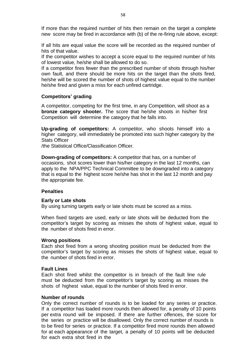If more than the required number of hits then remain on the target a complete new score may be fired in accordance with (b) of the re-firing rule above, except:

If all hits are equal value the score will be recorded as the required number of hits of that value.

If the competitor wishes to accept a score equal to the required number of hits of lowest value, he/she shall be allowed to do so.

If a competitor fires fewer than the prescribed number of shots through his/her own fault, and there should be more hits on the target than the shots fired, he/she will be scored the number of shots of highest value equal to the number he/she fired and given a miss for each unfired cartridge.

### <span id="page-61-0"></span>**Competitors' grading**

A competitor, competing for the first time, in any Competition, will shoot as a **bronze category shooter.** The score that he/she shoots in his/her first Competition will determine the category that he falls into.

**Up-grading of competitors:** A competitor, who shoots himself into a higher category, will immediately be promoted into such higher category by the Stats Officer

/the Statistical Office/Classification Officer.

**Down-grading of competitors:** A competitor that has, on a number of occasions, shot scores lower than his/her category in the last 12 months, can apply to the NPA/PPC Technical Committee to be downgraded into a category that is equal to the highest score he/she has shot in the last 12 month and pay the appropriate fee.

### <span id="page-61-1"></span>**Penalties**

#### <span id="page-61-2"></span>**Early or Late shots**

By using turning targets early or late shots must be scored as a miss.

When fixed targets are used, early or late shots will be deducted from the competitor's target by scoring as misses the shots of highest value, equal to the number of shots fired in error.

#### <span id="page-61-3"></span>**Wrong positions**

Each shot fired from a wrong shooting position must be deducted from the competitor's target by scoring as misses the shots of highest value, equal to the number of shots fired in error.

#### <span id="page-61-4"></span>**Fault Lines**

Each shot fired whilst the competitor is in breach of the fault line rule must be deducted from the competitor's target by scoring as misses the shots of highest value, equal to the number of shots fired in error.

#### <span id="page-61-5"></span>**Number of rounds**

Only the correct number of rounds is to be loaded for any series or practice. If a competitor has loaded more rounds then allowed for, a penalty of 10 points per extra round will be imposed. If there are further offences, the score for the series or practice will be disallowed. Only the correct number of rounds is to be fired for series or practice. If a competitor fired more rounds then allowed for at each appearance of the target, a penalty of 10 points will be deducted for each extra shot fired in the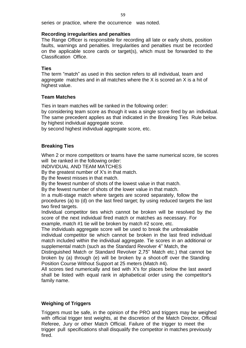series or practice, where the occurrence was noted.

# <span id="page-62-0"></span>**Recording irregularities and penalties**

The Range Officer is responsible for recording all late or early shots, position faults, warnings and penalties. Irregularities and penalties must be recorded on the applicable score cards or target(s), which must be forwarded to the Classification Office.

# <span id="page-62-1"></span>**Ties**

The term "match" as used in this section refers to all individual, team and agaregate matches and in all matches where the X is scored an X is a hit of highest value.

# <span id="page-62-2"></span>**Team Matches**

Ties in team matches will be ranked in the following order:

by considering team score as though it was a single score fired by an individual. The same precedent applies as that indicated in the Breaking Ties Rule below. by highest individual aggregate score.

by second highest individual aggregate score, etc.

# <span id="page-62-3"></span>**Breaking Ties**

When 2 or more competitors or teams have the same numerical score, tie scores will be ranked in the following order:

INDIVIDUAL AND TEAM MATCHES

By the greatest number of X's in that match.

By the fewest misses in that match.

By the fewest number of shots of the lowest value in that match.

By the fewest number of shots of the lower value in that match.

In a multi-stage match where targets are scored separately, follow the procedures (a) to (d) on the last fired target; by using reduced targets the last two fired targets.

Individual competitor ties which cannot be broken will be resolved by the score of the next individual fired match or matches as necessary. For example, match #1 tie will be broken by match #2 score, etc.

The individuals aggregate score will be used to break the unbreakable individual competitor tie which cannot be broken in the last fired individual match included within the individual aggregate. Tie scores in an additional or supplemental match (such as the Standard Revolver 4" Match, the

Distinguished Match or Standard Revolver 2,75" Match etc.) that cannot be broken by (a) through (e) will be broken by a shoot-off over the Standing Position Course Without Support at 25 meters (Match #4).

All scores tied numerically and tied with X's for places below the last award shall be listed with equal rank in alphabetical order using the competitor's family name.

# <span id="page-62-4"></span>**Weighing of Triggers**

Triggers must be safe, in the opinion of the PRO and triggers may be weighed with official trigger test weights, at the discretion of the Match Director, Official Referee, Jury or other Match Official. Failure of the trigger to meet the trigger pull specifications shall disqualify the competitor in matches previously fired.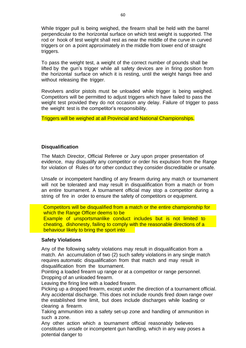While trigger pull is being weighed, the firearm shall be held with the barrel perpendicular to the horizontal surface on which test weight is supported. The rod or hook of test weight shall rest as near the middle of the curve in curved triggers or on a point approximately in the middle from lower end of straight triggers.

To pass the weight test, a weight of the correct number of pounds shall be lifted by the gun's trigger while all safety devices are in firing position from the horizontal surface on which it is resting, until the weight hangs free and without releasing the trigger.

Revolvers and/or pistols must be unloaded while trigger is being weighed. Competitors will be permitted to adjust triggers which have failed to pass the weight test provided they do not occasion any delay. Failure of trigger to pass the weight test is the competitor's responsibility.

Triggers will be weighed at all Provincial and National Championships.

# <span id="page-63-0"></span>**Disqualification**

The Match Director, Official Referee or Jury upon proper presentation of evidence, may disqualify any competitor or order his expulsion from the Range for violation of Rules or for other conduct they consider discreditable or unsafe.

Unsafe or incompetent handling of any firearm during any match or tournament will not be tolerated and may result in disqualification from a match or from an entire tournament. A tournament official may stop a competitor during a string of fire in order to ensure the safety of competitors or equipment.

Competitors will be disqualified from a match or the entire championship for which the Range Officer deems to be

Example of unsportsmanlike conduct includes but is not limited to cheating, dishonesty, failing to comply with the reasonable directions of a behaviour likely to bring the sport into

#### <span id="page-63-1"></span>disrepute. **Safety Violations**

Any of the following safety violations may result in disqualification from a match. An accumulation of two (2) such safety violations in any single match requires automatic disqualification from that match and may result in disqualification from the tournament.

Pointing a loaded firearm up range or at a competitor or range personnel. Dropping of an unloaded firearm.

Leaving the firing line with a loaded firearm.

Picking up a dropped firearm, except under the direction of a tournament official. Any accidental discharge. This does not include rounds fired down range over the established time limit, but does include discharges while loading or clearing a firearm.

Taking ammunition into a safety set-up zone and handling of ammunition in such a zone.

Any other action which a tournament official reasonably believes constitutes unsafe or incompetent gun handling, which in any way poses a potential danger to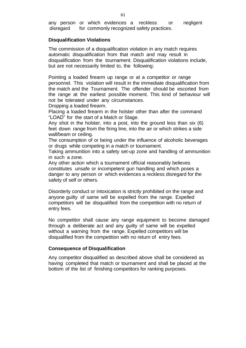any person or which evidences a reckless or negligent disregard for commonly recognized safety practices.

### <span id="page-64-0"></span>**Disqualification Violations**

The commission of a disqualification violation in any match requires automatic disqualification from that match and may result in disqualification from the tournament. Disqualification violations include, but are not necessarily limited to, the following:

Pointing a loaded firearm up range or at a competitor or range personnel. This violation will result in the immediate disqualification from the match and the Tournament. The offender should be escorted from the range at the earliest possible moment. This kind of behaviour will not be tolerated under any circumstances.

Dropping a loaded firearm.

Placing a loaded firearm in the holster other than after the command "LOAD" for the start of a Match or Stage.

Any shot in the holster, into a post, into the ground less than six (6) feet down range from the firing line, into the air or which strikes a side wall/beam or ceiling.

The consumption of or being under the influence of alcoholic beverages or drugs while competing in a match or tournament.

Taking ammunition into a safety set-up zone and handling of ammunition in such a zone.

Any other action which a tournament official reasonably believes constitutes unsafe or incompetent gun handling and which poses a danger to any person or which evidences a reckless disregard for the safety of self or others.

Disorderly conduct or intoxication is strictly prohibited on the range and anyone guilty of same will be expelled from the range. Expelled competitors will be disqualified from the competition with no return of entry fees.

No competitor shall cause any range equipment to become damaged through a deliberate act and any guilty of same will be expelled without a warning from the range. Expelled competitors will be disqualified from the competition with no return of entry fees.

### <span id="page-64-1"></span>**Consequence of Disqualification**

Any competitor disqualified as described above shall be considered as having completed that match or tournament and shall be placed at the bottom of the list of finishing competitors for ranking purposes.